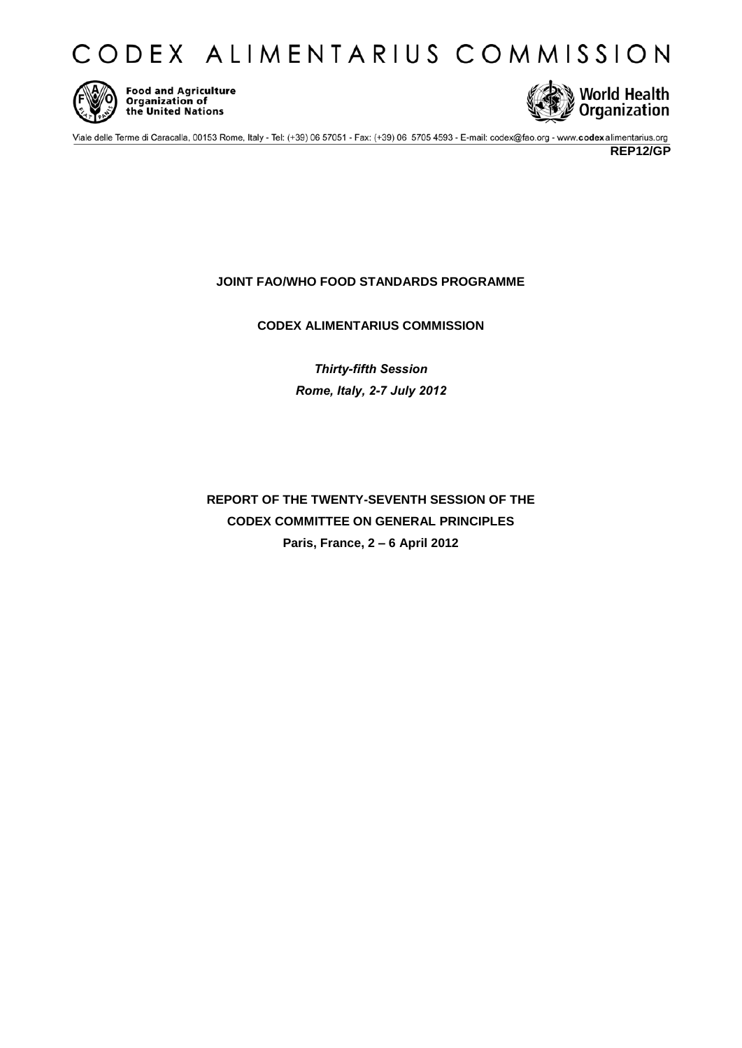



Food and Agriculture<br>Organization of<br>the United Nations



Viale delle Terme di Caracalla, 00153 Rome, Italy - Tel: (+39) 06 57051 - Fax: (+39) 06 5705 4593 - E-mail: codex@fao.org - www.codexalimentarius.org

**REP12/GP** 

# **JOINT FAO/WHO FOOD STANDARDS PROGRAMME**

**CODEX ALIMENTARIUS COMMISSION** 

*Thirty-fifth Session Rome, Italy, 2-7 July 2012* 

**REPORT OF THE TWENTY-SEVENTH SESSION OF THE CODEX COMMITTEE ON GENERAL PRINCIPLES Paris, France, 2 – 6 April 2012**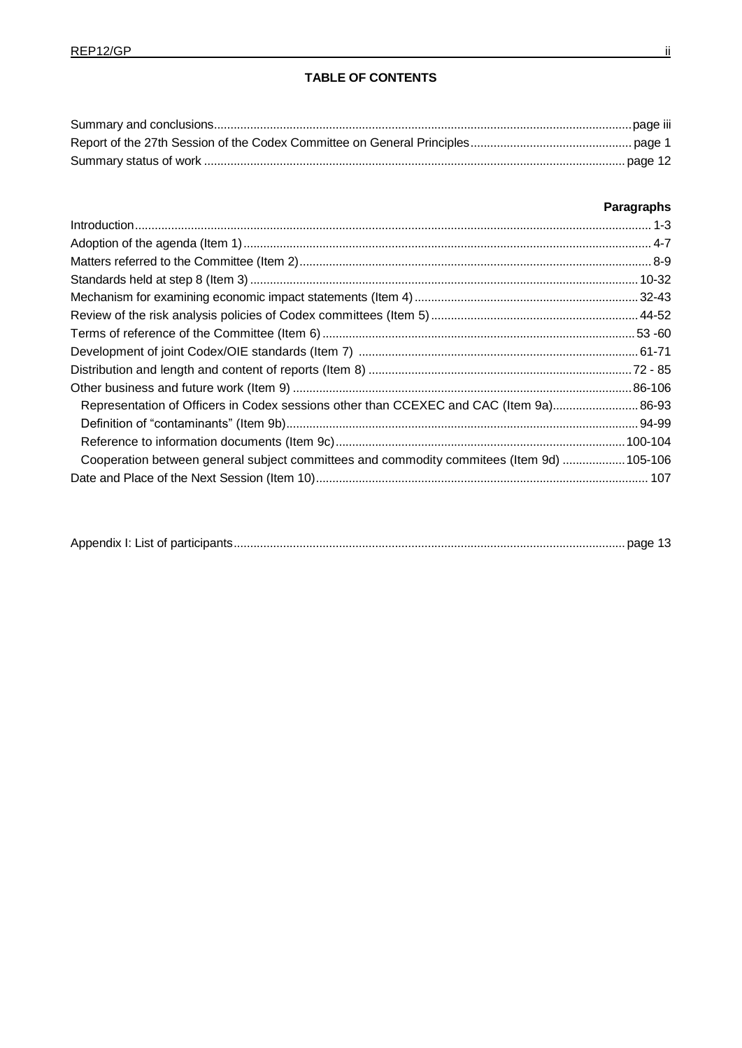# **Paragraphs**

| Representation of Officers in Codex sessions other than CCEXEC and CAC (Item 9a) 86-93    |  |
|-------------------------------------------------------------------------------------------|--|
|                                                                                           |  |
|                                                                                           |  |
| Cooperation between general subject committees and commodity commitees (Item 9d)  105-106 |  |
|                                                                                           |  |

|--|--|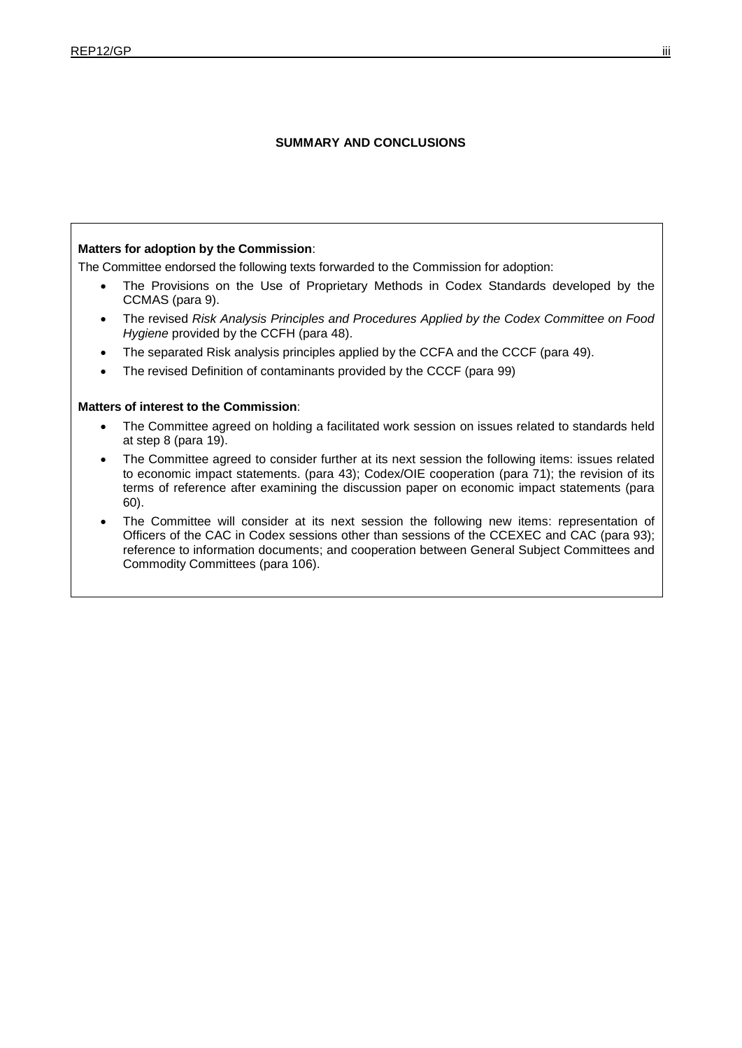### **SUMMARY AND CONCLUSIONS**

#### **Matters for adoption by the Commission**:

The Committee endorsed the following texts forwarded to the Commission for adoption:

- The Provisions on the Use of Proprietary Methods in Codex Standards developed by the CCMAS (para 9).
- The revised *Risk Analysis Principles and Procedures Applied by the Codex Committee on Food Hygiene* provided by the CCFH (para 48).
- The separated Risk analysis principles applied by the CCFA and the CCCF (para 49).
- The revised Definition of contaminants provided by the CCCF (para 99)

#### **Matters of interest to the Commission**:

- The Committee agreed on holding a facilitated work session on issues related to standards held at step 8 (para 19).
- The Committee agreed to consider further at its next session the following items: issues related to economic impact statements. (para 43); Codex/OIE cooperation (para 71); the revision of its terms of reference after examining the discussion paper on economic impact statements (para 60).
- The Committee will consider at its next session the following new items: representation of Officers of the CAC in Codex sessions other than sessions of the CCEXEC and CAC (para 93); reference to information documents; and cooperation between General Subject Committees and Commodity Committees (para 106).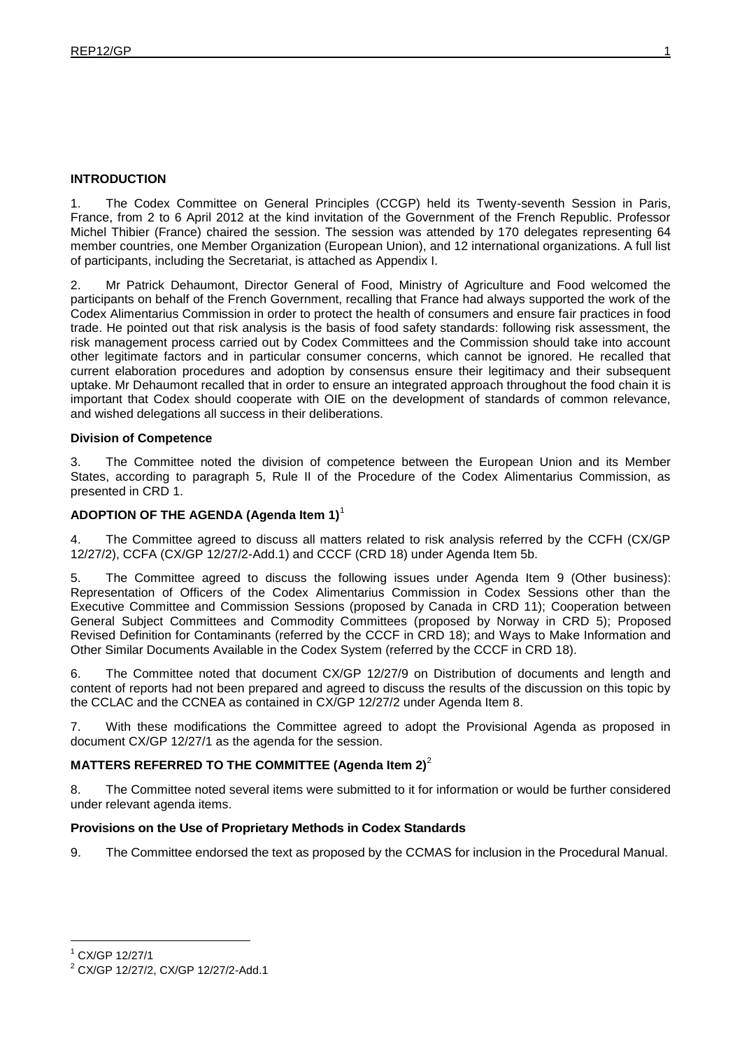### **INTRODUCTION**

1. The Codex Committee on General Principles (CCGP) held its Twenty-seventh Session in Paris, France, from 2 to 6 April 2012 at the kind invitation of the Government of the French Republic. Professor Michel Thibier (France) chaired the session. The session was attended by 170 delegates representing 64 member countries, one Member Organization (European Union), and 12 international organizations. A full list of participants, including the Secretariat, is attached as Appendix I.

2. Mr Patrick Dehaumont, Director General of Food, Ministry of Agriculture and Food welcomed the participants on behalf of the French Government, recalling that France had always supported the work of the Codex Alimentarius Commission in order to protect the health of consumers and ensure fair practices in food trade. He pointed out that risk analysis is the basis of food safety standards: following risk assessment, the risk management process carried out by Codex Committees and the Commission should take into account other legitimate factors and in particular consumer concerns, which cannot be ignored. He recalled that current elaboration procedures and adoption by consensus ensure their legitimacy and their subsequent uptake. Mr Dehaumont recalled that in order to ensure an integrated approach throughout the food chain it is important that Codex should cooperate with OIE on the development of standards of common relevance, and wished delegations all success in their deliberations.

#### **Division of Competence**

3. The Committee noted the division of competence between the European Union and its Member States, according to paragraph 5, Rule II of the Procedure of the Codex Alimentarius Commission, as presented in CRD 1.

### **ADOPTION OF THE AGENDA (Agenda Item 1)**<sup>1</sup>

4. The Committee agreed to discuss all matters related to risk analysis referred by the CCFH (CX/GP 12/27/2), CCFA (CX/GP 12/27/2-Add.1) and CCCF (CRD 18) under Agenda Item 5b.

5. The Committee agreed to discuss the following issues under Agenda Item 9 (Other business): Representation of Officers of the Codex Alimentarius Commission in Codex Sessions other than the Executive Committee and Commission Sessions (proposed by Canada in CRD 11); Cooperation between General Subject Committees and Commodity Committees (proposed by Norway in CRD 5); Proposed Revised Definition for Contaminants (referred by the CCCF in CRD 18); and Ways to Make Information and Other Similar Documents Available in the Codex System (referred by the CCCF in CRD 18).

6. The Committee noted that document CX/GP 12/27/9 on Distribution of documents and length and content of reports had not been prepared and agreed to discuss the results of the discussion on this topic by the CCLAC and the CCNEA as contained in CX/GP 12/27/2 under Agenda Item 8.

7. With these modifications the Committee agreed to adopt the Provisional Agenda as proposed in document CX/GP 12/27/1 as the agenda for the session.

### **MATTERS REFERRED TO THE COMMITTEE (Agenda Item 2)**<sup>2</sup>

8. The Committee noted several items were submitted to it for information or would be further considered under relevant agenda items.

### **Provisions on the Use of Proprietary Methods in Codex Standards**

9. The Committee endorsed the text as proposed by the CCMAS for inclusion in the Procedural Manual.

<sup>1</sup> CX/GP 12/27/1

<sup>2</sup> CX/GP 12/27/2, CX/GP 12/27/2-Add.1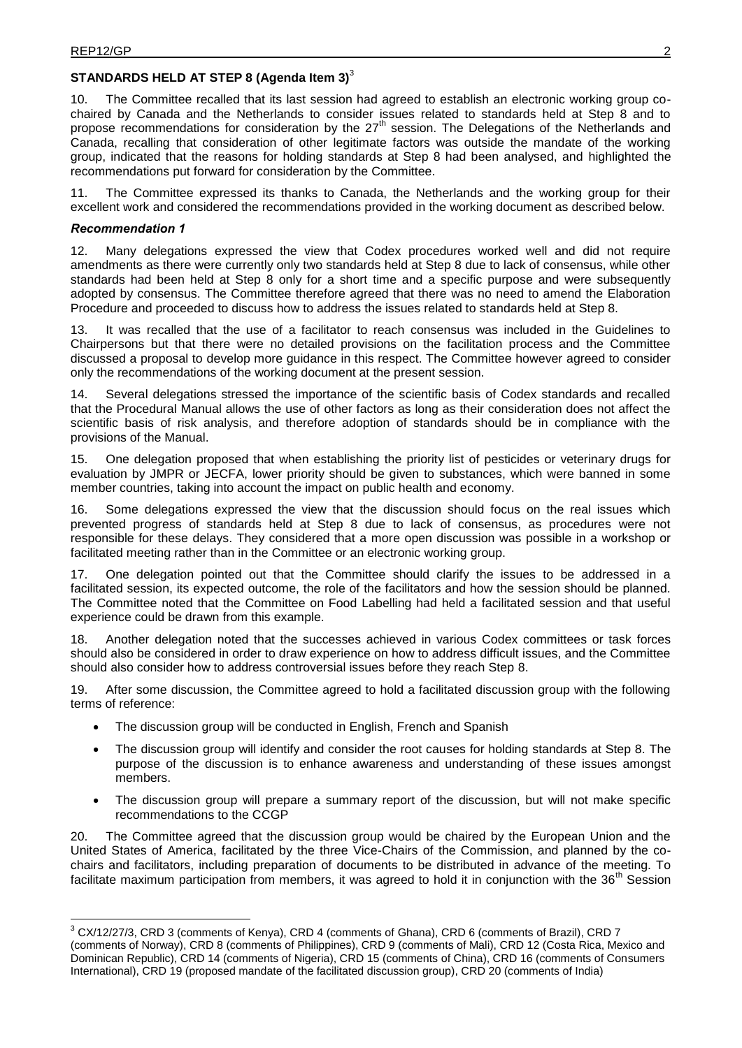### **STANDARDS HELD AT STEP 8 (Agenda Item 3)**<sup>3</sup>

10. The Committee recalled that its last session had agreed to establish an electronic working group cochaired by Canada and the Netherlands to consider issues related to standards held at Step 8 and to propose recommendations for consideration by the 27<sup>th</sup> session. The Delegations of the Netherlands and Canada, recalling that consideration of other legitimate factors was outside the mandate of the working group, indicated that the reasons for holding standards at Step 8 had been analysed, and highlighted the recommendations put forward for consideration by the Committee.

11. The Committee expressed its thanks to Canada, the Netherlands and the working group for their excellent work and considered the recommendations provided in the working document as described below.

#### *Recommendation 1*

-

12. Many delegations expressed the view that Codex procedures worked well and did not require amendments as there were currently only two standards held at Step 8 due to lack of consensus, while other standards had been held at Step 8 only for a short time and a specific purpose and were subsequently adopted by consensus. The Committee therefore agreed that there was no need to amend the Elaboration Procedure and proceeded to discuss how to address the issues related to standards held at Step 8.

13. It was recalled that the use of a facilitator to reach consensus was included in the Guidelines to Chairpersons but that there were no detailed provisions on the facilitation process and the Committee discussed a proposal to develop more guidance in this respect. The Committee however agreed to consider only the recommendations of the working document at the present session.

14. Several delegations stressed the importance of the scientific basis of Codex standards and recalled that the Procedural Manual allows the use of other factors as long as their consideration does not affect the scientific basis of risk analysis, and therefore adoption of standards should be in compliance with the provisions of the Manual.

15. One delegation proposed that when establishing the priority list of pesticides or veterinary drugs for evaluation by JMPR or JECFA, lower priority should be given to substances, which were banned in some member countries, taking into account the impact on public health and economy.

16. Some delegations expressed the view that the discussion should focus on the real issues which prevented progress of standards held at Step 8 due to lack of consensus, as procedures were not responsible for these delays. They considered that a more open discussion was possible in a workshop or facilitated meeting rather than in the Committee or an electronic working group.

17. One delegation pointed out that the Committee should clarify the issues to be addressed in a facilitated session, its expected outcome, the role of the facilitators and how the session should be planned. The Committee noted that the Committee on Food Labelling had held a facilitated session and that useful experience could be drawn from this example.

18. Another delegation noted that the successes achieved in various Codex committees or task forces should also be considered in order to draw experience on how to address difficult issues, and the Committee should also consider how to address controversial issues before they reach Step 8.

19. After some discussion, the Committee agreed to hold a facilitated discussion group with the following terms of reference:

- The discussion group will be conducted in English, French and Spanish
- The discussion group will identify and consider the root causes for holding standards at Step 8. The purpose of the discussion is to enhance awareness and understanding of these issues amongst members.
- The discussion group will prepare a summary report of the discussion, but will not make specific recommendations to the CCGP

20. The Committee agreed that the discussion group would be chaired by the European Union and the United States of America, facilitated by the three Vice-Chairs of the Commission, and planned by the cochairs and facilitators, including preparation of documents to be distributed in advance of the meeting. To facilitate maximum participation from members, it was agreed to hold it in conjunction with the 36<sup>th</sup> Session

 $3$  CX/12/27/3, CRD 3 (comments of Kenya), CRD 4 (comments of Ghana), CRD 6 (comments of Brazil), CRD 7 (comments of Norway), CRD 8 (comments of Philippines), CRD 9 (comments of Mali), CRD 12 (Costa Rica, Mexico and Dominican Republic), CRD 14 (comments of Nigeria), CRD 15 (comments of China), CRD 16 (comments of Consumers International), CRD 19 (proposed mandate of the facilitated discussion group), CRD 20 (comments of India)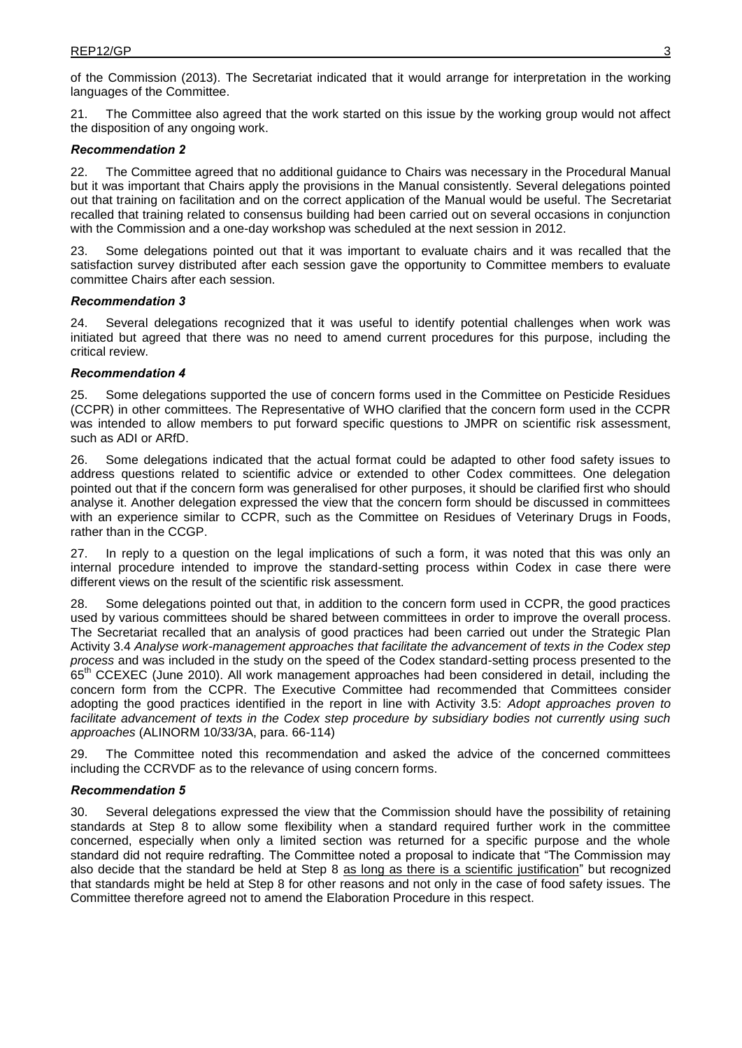of the Commission (2013). The Secretariat indicated that it would arrange for interpretation in the working languages of the Committee.

21. The Committee also agreed that the work started on this issue by the working group would not affect the disposition of any ongoing work.

#### *Recommendation 2*

22. The Committee agreed that no additional guidance to Chairs was necessary in the Procedural Manual but it was important that Chairs apply the provisions in the Manual consistently. Several delegations pointed out that training on facilitation and on the correct application of the Manual would be useful. The Secretariat recalled that training related to consensus building had been carried out on several occasions in conjunction with the Commission and a one-day workshop was scheduled at the next session in 2012.

23. Some delegations pointed out that it was important to evaluate chairs and it was recalled that the satisfaction survey distributed after each session gave the opportunity to Committee members to evaluate committee Chairs after each session.

#### *Recommendation 3*

24. Several delegations recognized that it was useful to identify potential challenges when work was initiated but agreed that there was no need to amend current procedures for this purpose, including the critical review.

#### *Recommendation 4*

25. Some delegations supported the use of concern forms used in the Committee on Pesticide Residues (CCPR) in other committees. The Representative of WHO clarified that the concern form used in the CCPR was intended to allow members to put forward specific questions to JMPR on scientific risk assessment, such as ADI or ARfD.

26. Some delegations indicated that the actual format could be adapted to other food safety issues to address questions related to scientific advice or extended to other Codex committees. One delegation pointed out that if the concern form was generalised for other purposes, it should be clarified first who should analyse it. Another delegation expressed the view that the concern form should be discussed in committees with an experience similar to CCPR, such as the Committee on Residues of Veterinary Drugs in Foods, rather than in the CCGP.

27. In reply to a question on the legal implications of such a form, it was noted that this was only an internal procedure intended to improve the standard-setting process within Codex in case there were different views on the result of the scientific risk assessment.

28. Some delegations pointed out that, in addition to the concern form used in CCPR, the good practices used by various committees should be shared between committees in order to improve the overall process. The Secretariat recalled that an analysis of good practices had been carried out under the Strategic Plan Activity 3.4 *Analyse work-management approaches that facilitate the advancement of texts in the Codex step process* and was included in the study on the speed of the Codex standard-setting process presented to the 65<sup>th</sup> CCEXEC (June 2010). All work management approaches had been considered in detail, including the concern form from the CCPR. The Executive Committee had recommended that Committees consider adopting the good practices identified in the report in line with Activity 3.5: *Adopt approaches proven to facilitate advancement of texts in the Codex step procedure by subsidiary bodies not currently using such approaches* (ALINORM 10/33/3A, para. 66-114)

29. The Committee noted this recommendation and asked the advice of the concerned committees including the CCRVDF as to the relevance of using concern forms.

### *Recommendation 5*

30. Several delegations expressed the view that the Commission should have the possibility of retaining standards at Step 8 to allow some flexibility when a standard required further work in the committee concerned, especially when only a limited section was returned for a specific purpose and the whole standard did not require redrafting. The Committee noted a proposal to indicate that "The Commission may also decide that the standard be held at Step 8 as long as there is a scientific justification" but recognized that standards might be held at Step 8 for other reasons and not only in the case of food safety issues. The Committee therefore agreed not to amend the Elaboration Procedure in this respect.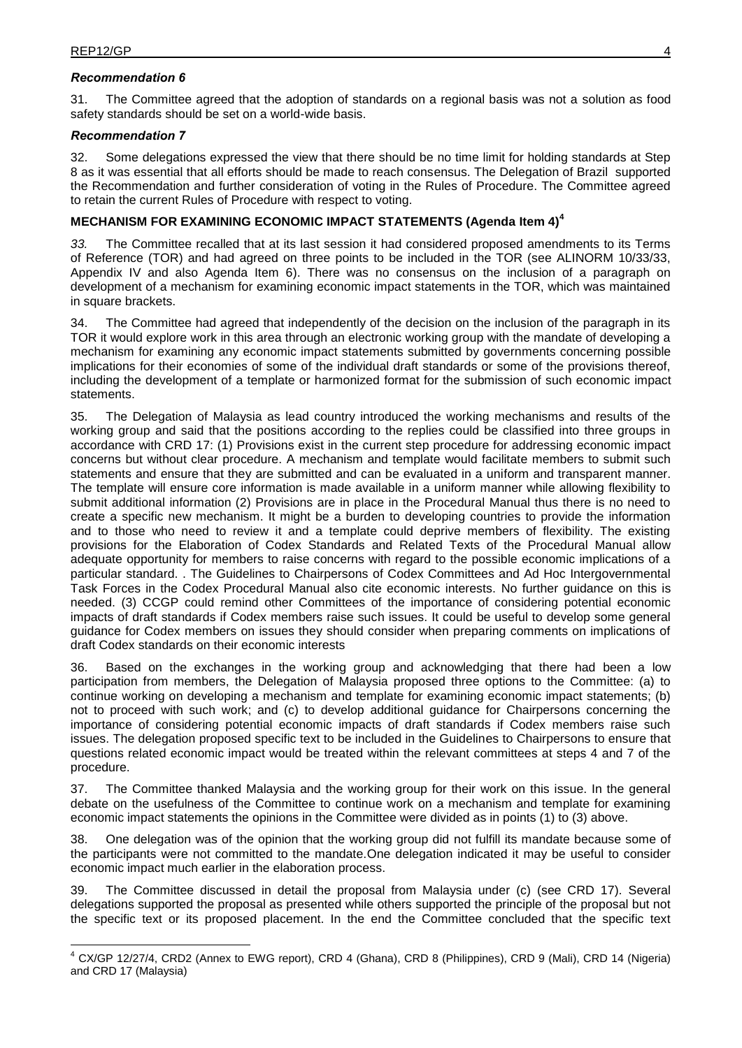### *Recommendation 6*

31. The Committee agreed that the adoption of standards on a regional basis was not a solution as food safety standards should be set on a world-wide basis.

### *Recommendation 7*

32. Some delegations expressed the view that there should be no time limit for holding standards at Step 8 as it was essential that all efforts should be made to reach consensus. The Delegation of Brazil supported the Recommendation and further consideration of voting in the Rules of Procedure. The Committee agreed to retain the current Rules of Procedure with respect to voting.

### **MECHANISM FOR EXAMINING ECONOMIC IMPACT STATEMENTS (Agenda Item 4)<sup>4</sup>**

*33.* The Committee recalled that at its last session it had considered proposed amendments to its Terms of Reference (TOR) and had agreed on three points to be included in the TOR (see ALINORM 10/33/33, Appendix IV and also Agenda Item 6). There was no consensus on the inclusion of a paragraph on development of a mechanism for examining economic impact statements in the TOR, which was maintained in square brackets.

34. The Committee had agreed that independently of the decision on the inclusion of the paragraph in its TOR it would explore work in this area through an electronic working group with the mandate of developing a mechanism for examining any economic impact statements submitted by governments concerning possible implications for their economies of some of the individual draft standards or some of the provisions thereof, including the development of a template or harmonized format for the submission of such economic impact statements.

35. The Delegation of Malaysia as lead country introduced the working mechanisms and results of the working group and said that the positions according to the replies could be classified into three groups in accordance with CRD 17: (1) Provisions exist in the current step procedure for addressing economic impact concerns but without clear procedure. A mechanism and template would facilitate members to submit such statements and ensure that they are submitted and can be evaluated in a uniform and transparent manner. The template will ensure core information is made available in a uniform manner while allowing flexibility to submit additional information (2) Provisions are in place in the Procedural Manual thus there is no need to create a specific new mechanism. It might be a burden to developing countries to provide the information and to those who need to review it and a template could deprive members of flexibility. The existing provisions for the Elaboration of Codex Standards and Related Texts of the Procedural Manual allow adequate opportunity for members to raise concerns with regard to the possible economic implications of a particular standard. . The Guidelines to Chairpersons of Codex Committees and Ad Hoc Intergovernmental Task Forces in the Codex Procedural Manual also cite economic interests. No further guidance on this is needed. (3) CCGP could remind other Committees of the importance of considering potential economic impacts of draft standards if Codex members raise such issues. It could be useful to develop some general guidance for Codex members on issues they should consider when preparing comments on implications of draft Codex standards on their economic interests

Based on the exchanges in the working group and acknowledging that there had been a low participation from members, the Delegation of Malaysia proposed three options to the Committee: (a) to continue working on developing a mechanism and template for examining economic impact statements; (b) not to proceed with such work; and (c) to develop additional guidance for Chairpersons concerning the importance of considering potential economic impacts of draft standards if Codex members raise such issues. The delegation proposed specific text to be included in the Guidelines to Chairpersons to ensure that questions related economic impact would be treated within the relevant committees at steps 4 and 7 of the procedure.

37. The Committee thanked Malaysia and the working group for their work on this issue. In the general debate on the usefulness of the Committee to continue work on a mechanism and template for examining economic impact statements the opinions in the Committee were divided as in points (1) to (3) above.

38. One delegation was of the opinion that the working group did not fulfill its mandate because some of the participants were not committed to the mandate.One delegation indicated it may be useful to consider economic impact much earlier in the elaboration process.

39. The Committee discussed in detail the proposal from Malaysia under (c) (see CRD 17). Several delegations supported the proposal as presented while others supported the principle of the proposal but not the specific text or its proposed placement. In the end the Committee concluded that the specific text

 4 CX/GP 12/27/4, CRD2 (Annex to EWG report), CRD 4 (Ghana), CRD 8 (Philippines), CRD 9 (Mali), CRD 14 (Nigeria) and CRD 17 (Malaysia)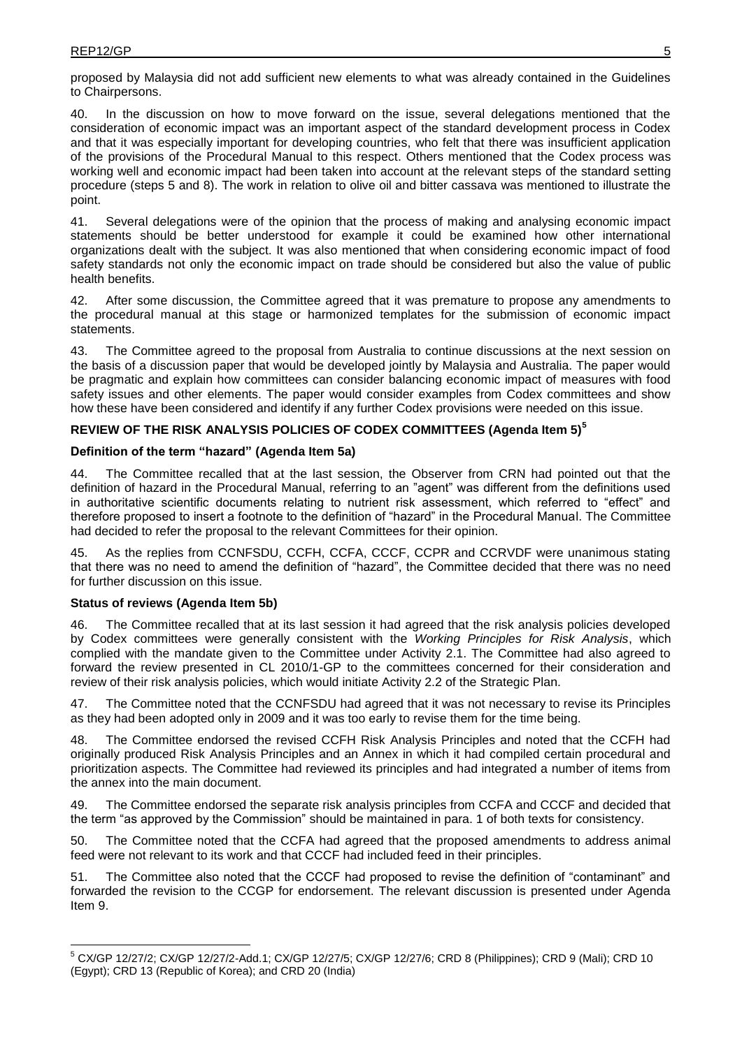proposed by Malaysia did not add sufficient new elements to what was already contained in the Guidelines to Chairpersons.

40. In the discussion on how to move forward on the issue, several delegations mentioned that the consideration of economic impact was an important aspect of the standard development process in Codex and that it was especially important for developing countries, who felt that there was insufficient application of the provisions of the Procedural Manual to this respect. Others mentioned that the Codex process was working well and economic impact had been taken into account at the relevant steps of the standard setting procedure (steps 5 and 8). The work in relation to olive oil and bitter cassava was mentioned to illustrate the point.

41. Several delegations were of the opinion that the process of making and analysing economic impact statements should be better understood for example it could be examined how other international organizations dealt with the subject. It was also mentioned that when considering economic impact of food safety standards not only the economic impact on trade should be considered but also the value of public health benefits.

42. After some discussion, the Committee agreed that it was premature to propose any amendments to the procedural manual at this stage or harmonized templates for the submission of economic impact statements.

43. The Committee agreed to the proposal from Australia to continue discussions at the next session on the basis of a discussion paper that would be developed jointly by Malaysia and Australia. The paper would be pragmatic and explain how committees can consider balancing economic impact of measures with food safety issues and other elements. The paper would consider examples from Codex committees and show how these have been considered and identify if any further Codex provisions were needed on this issue.

### **REVIEW OF THE RISK ANALYSIS POLICIES OF CODEX COMMITTEES (Agenda Item 5)<sup>5</sup>**

#### **Definition of the term "hazard" (Agenda Item 5a)**

44. The Committee recalled that at the last session, the Observer from CRN had pointed out that the definition of hazard in the Procedural Manual, referring to an "agent" was different from the definitions used in authoritative scientific documents relating to nutrient risk assessment, which referred to "effect" and therefore proposed to insert a footnote to the definition of "hazard" in the Procedural Manual. The Committee had decided to refer the proposal to the relevant Committees for their opinion.

45. As the replies from CCNFSDU, CCFH, CCFA, CCCF, CCPR and CCRVDF were unanimous stating that there was no need to amend the definition of "hazard", the Committee decided that there was no need for further discussion on this issue.

#### **Status of reviews (Agenda Item 5b)**

-

46. The Committee recalled that at its last session it had agreed that the risk analysis policies developed by Codex committees were generally consistent with the *Working Principles for Risk Analysis*, which complied with the mandate given to the Committee under Activity 2.1. The Committee had also agreed to forward the review presented in CL 2010/1-GP to the committees concerned for their consideration and review of their risk analysis policies, which would initiate Activity 2.2 of the Strategic Plan.

47. The Committee noted that the CCNFSDU had agreed that it was not necessary to revise its Principles as they had been adopted only in 2009 and it was too early to revise them for the time being.

48. The Committee endorsed the revised CCFH Risk Analysis Principles and noted that the CCFH had originally produced Risk Analysis Principles and an Annex in which it had compiled certain procedural and prioritization aspects. The Committee had reviewed its principles and had integrated a number of items from the annex into the main document.

49. The Committee endorsed the separate risk analysis principles from CCFA and CCCF and decided that the term "as approved by the Commission" should be maintained in para. 1 of both texts for consistency.

50. The Committee noted that the CCFA had agreed that the proposed amendments to address animal feed were not relevant to its work and that CCCF had included feed in their principles.

51. The Committee also noted that the CCCF had proposed to revise the definition of "contaminant" and forwarded the revision to the CCGP for endorsement. The relevant discussion is presented under Agenda Item 9.

<sup>5</sup> CX/GP 12/27/2; CX/GP 12/27/2-Add.1; CX/GP 12/27/5; CX/GP 12/27/6; CRD 8 (Philippines); CRD 9 (Mali); CRD 10 (Egypt); CRD 13 (Republic of Korea); and CRD 20 (India)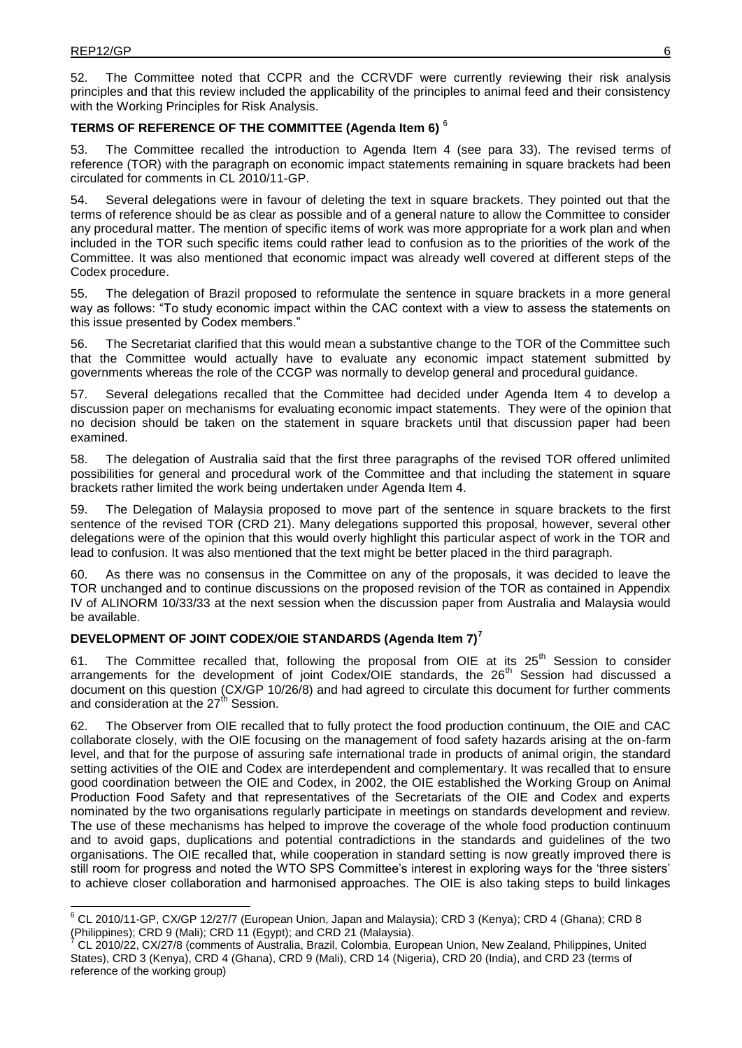-

52. The Committee noted that CCPR and the CCRVDF were currently reviewing their risk analysis principles and that this review included the applicability of the principles to animal feed and their consistency with the Working Principles for Risk Analysis.

### **TERMS OF REFERENCE OF THE COMMITTEE (Agenda Item 6)** <sup>6</sup>

53. The Committee recalled the introduction to Agenda Item 4 (see para 33). The revised terms of reference (TOR) with the paragraph on economic impact statements remaining in square brackets had been circulated for comments in CL 2010/11-GP.

54. Several delegations were in favour of deleting the text in square brackets. They pointed out that the terms of reference should be as clear as possible and of a general nature to allow the Committee to consider any procedural matter. The mention of specific items of work was more appropriate for a work plan and when included in the TOR such specific items could rather lead to confusion as to the priorities of the work of the Committee. It was also mentioned that economic impact was already well covered at different steps of the Codex procedure.

55. The delegation of Brazil proposed to reformulate the sentence in square brackets in a more general way as follows: "To study economic impact within the CAC context with a view to assess the statements on this issue presented by Codex members."

56. The Secretariat clarified that this would mean a substantive change to the TOR of the Committee such that the Committee would actually have to evaluate any economic impact statement submitted by governments whereas the role of the CCGP was normally to develop general and procedural guidance.

57. Several delegations recalled that the Committee had decided under Agenda Item 4 to develop a discussion paper on mechanisms for evaluating economic impact statements. They were of the opinion that no decision should be taken on the statement in square brackets until that discussion paper had been examined.

58. The delegation of Australia said that the first three paragraphs of the revised TOR offered unlimited possibilities for general and procedural work of the Committee and that including the statement in square brackets rather limited the work being undertaken under Agenda Item 4.

59. The Delegation of Malaysia proposed to move part of the sentence in square brackets to the first sentence of the revised TOR (CRD 21). Many delegations supported this proposal, however, several other delegations were of the opinion that this would overly highlight this particular aspect of work in the TOR and lead to confusion. It was also mentioned that the text might be better placed in the third paragraph.

60. As there was no consensus in the Committee on any of the proposals, it was decided to leave the TOR unchanged and to continue discussions on the proposed revision of the TOR as contained in Appendix IV of ALINORM 10/33/33 at the next session when the discussion paper from Australia and Malaysia would be available.

# **DEVELOPMENT OF JOINT CODEX/OIE STANDARDS (Agenda Item 7)<sup>7</sup>**

The Committee recalled that, following the proposal from OIE at its  $25<sup>th</sup>$  Session to consider arrangements for the development of joint Codex/OIE standards, the  $26<sup>th</sup>$  Session had discussed a document on this question (CX/GP 10/26/8) and had agreed to circulate this document for further comments and consideration at the 27<sup>th</sup> Session.

62. The Observer from OIE recalled that to fully protect the food production continuum, the OIE and CAC collaborate closely, with the OIE focusing on the management of food safety hazards arising at the on-farm level, and that for the purpose of assuring safe international trade in products of animal origin, the standard setting activities of the OIE and Codex are interdependent and complementary. It was recalled that to ensure good coordination between the OIE and Codex, in 2002, the OIE established the Working Group on Animal Production Food Safety and that representatives of the Secretariats of the OIE and Codex and experts nominated by the two organisations regularly participate in meetings on standards development and review. The use of these mechanisms has helped to improve the coverage of the whole food production continuum and to avoid gaps, duplications and potential contradictions in the standards and guidelines of the two organisations. The OIE recalled that, while cooperation in standard setting is now greatly improved there is still room for progress and noted the WTO SPS Committee's interest in exploring ways for the 'three sisters' to achieve closer collaboration and harmonised approaches. The OIE is also taking steps to build linkages

<sup>6</sup> CL 2010/11-GP, CX/GP 12/27/7 (European Union, Japan and Malaysia); CRD 3 (Kenya); CRD 4 (Ghana); CRD 8 (Philippines); CRD 9 (Mali); CRD 11 (Egypt); and CRD 21 (Malaysia).

<sup>7</sup> CL 2010/22, CX/27/8 (comments of Australia, Brazil, Colombia, European Union, New Zealand, Philippines, United States), CRD 3 (Kenya), CRD 4 (Ghana), CRD 9 (Mali), CRD 14 (Nigeria), CRD 20 (India), and CRD 23 (terms of reference of the working group)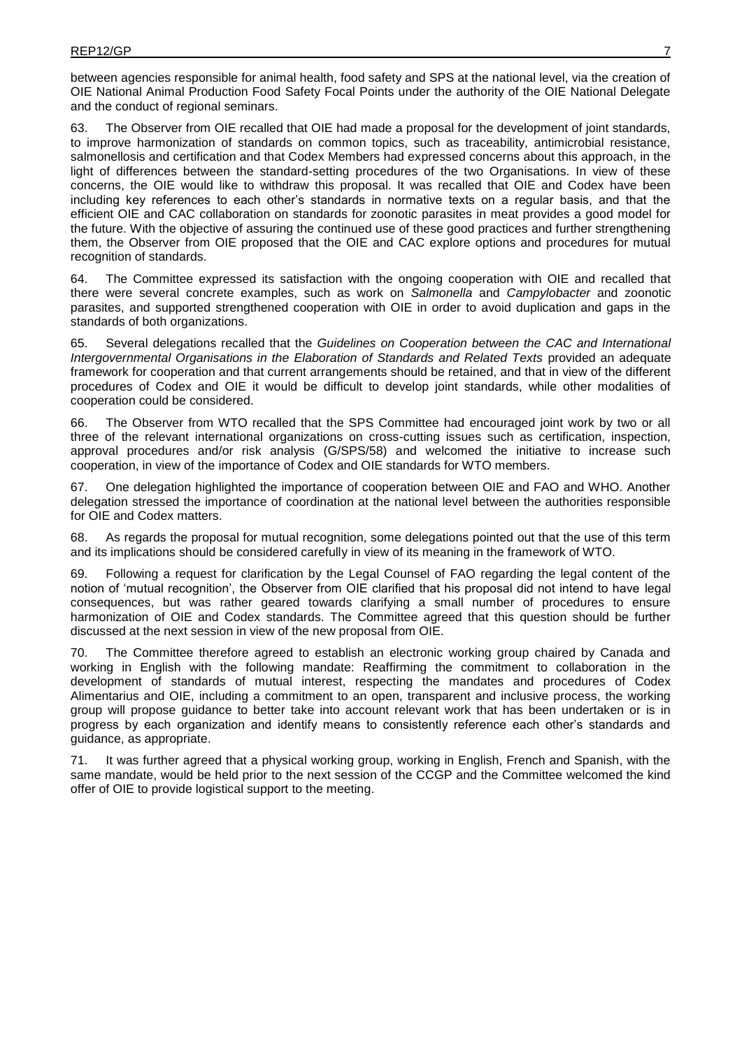between agencies responsible for animal health, food safety and SPS at the national level, via the creation of OIE National Animal Production Food Safety Focal Points under the authority of the OIE National Delegate and the conduct of regional seminars.

63. The Observer from OIE recalled that OIE had made a proposal for the development of joint standards, to improve harmonization of standards on common topics, such as traceability, antimicrobial resistance, salmonellosis and certification and that Codex Members had expressed concerns about this approach, in the light of differences between the standard-setting procedures of the two Organisations. In view of these concerns, the OIE would like to withdraw this proposal. It was recalled that OIE and Codex have been including key references to each other's standards in normative texts on a regular basis, and that the efficient OIE and CAC collaboration on standards for zoonotic parasites in meat provides a good model for the future. With the objective of assuring the continued use of these good practices and further strengthening them, the Observer from OIE proposed that the OIE and CAC explore options and procedures for mutual recognition of standards.

64. The Committee expressed its satisfaction with the ongoing cooperation with OIE and recalled that there were several concrete examples, such as work on *Salmonella* and *Campylobacter* and zoonotic parasites, and supported strengthened cooperation with OIE in order to avoid duplication and gaps in the standards of both organizations.

65. Several delegations recalled that the *Guidelines on Cooperation between the CAC and International Intergovernmental Organisations in the Elaboration of Standards and Related Texts* provided an adequate framework for cooperation and that current arrangements should be retained, and that in view of the different procedures of Codex and OIE it would be difficult to develop joint standards, while other modalities of cooperation could be considered.

66. The Observer from WTO recalled that the SPS Committee had encouraged joint work by two or all three of the relevant international organizations on cross-cutting issues such as certification, inspection, approval procedures and/or risk analysis (G/SPS/58) and welcomed the initiative to increase such cooperation, in view of the importance of Codex and OIE standards for WTO members.

67. One delegation highlighted the importance of cooperation between OIE and FAO and WHO. Another delegation stressed the importance of coordination at the national level between the authorities responsible for OIE and Codex matters.

68. As regards the proposal for mutual recognition, some delegations pointed out that the use of this term and its implications should be considered carefully in view of its meaning in the framework of WTO.

69. Following a request for clarification by the Legal Counsel of FAO regarding the legal content of the notion of 'mutual recognition', the Observer from OIE clarified that his proposal did not intend to have legal consequences, but was rather geared towards clarifying a small number of procedures to ensure harmonization of OIE and Codex standards. The Committee agreed that this question should be further discussed at the next session in view of the new proposal from OIE.

70. The Committee therefore agreed to establish an electronic working group chaired by Canada and working in English with the following mandate: Reaffirming the commitment to collaboration in the development of standards of mutual interest, respecting the mandates and procedures of Codex Alimentarius and OIE, including a commitment to an open, transparent and inclusive process, the working group will propose guidance to better take into account relevant work that has been undertaken or is in progress by each organization and identify means to consistently reference each other's standards and guidance, as appropriate.

71. It was further agreed that a physical working group, working in English, French and Spanish, with the same mandate, would be held prior to the next session of the CCGP and the Committee welcomed the kind offer of OIE to provide logistical support to the meeting.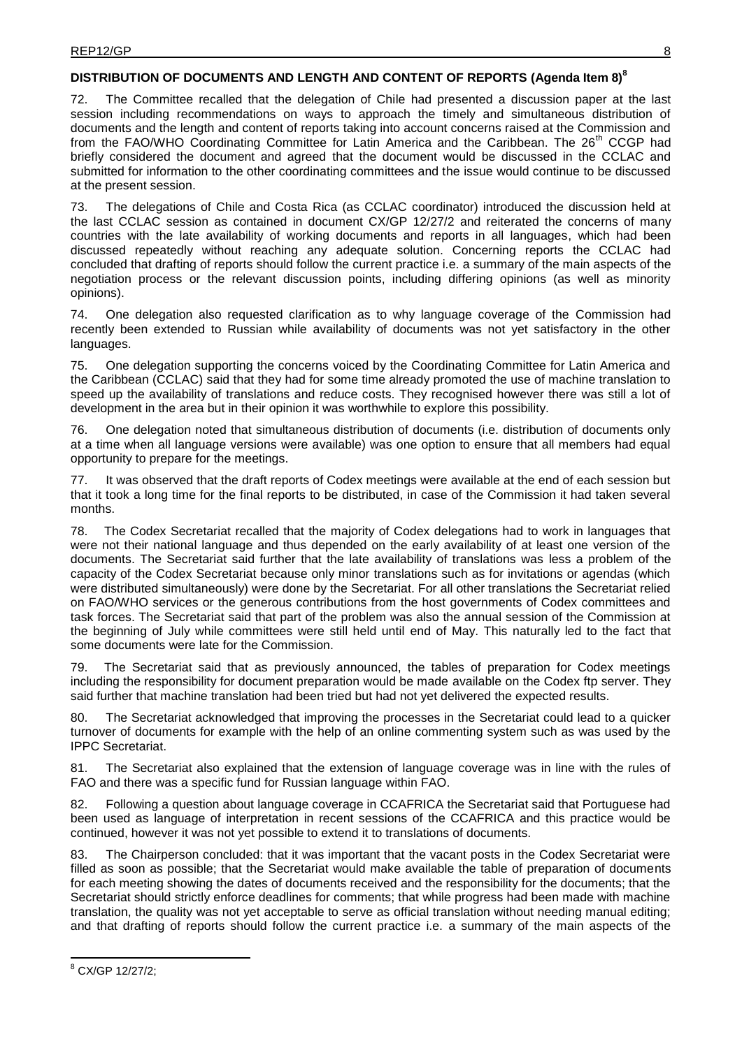### **DISTRIBUTION OF DOCUMENTS AND LENGTH AND CONTENT OF REPORTS (Agenda Item 8)<sup>8</sup>**

72. The Committee recalled that the delegation of Chile had presented a discussion paper at the last session including recommendations on ways to approach the timely and simultaneous distribution of documents and the length and content of reports taking into account concerns raised at the Commission and from the FAO/WHO Coordinating Committee for Latin America and the Caribbean. The 26<sup>th</sup> CCGP had briefly considered the document and agreed that the document would be discussed in the CCLAC and submitted for information to the other coordinating committees and the issue would continue to be discussed at the present session.

73. The delegations of Chile and Costa Rica (as CCLAC coordinator) introduced the discussion held at the last CCLAC session as contained in document CX/GP 12/27/2 and reiterated the concerns of many countries with the late availability of working documents and reports in all languages, which had been discussed repeatedly without reaching any adequate solution. Concerning reports the CCLAC had concluded that drafting of reports should follow the current practice i.e. a summary of the main aspects of the negotiation process or the relevant discussion points, including differing opinions (as well as minority opinions).

74. One delegation also requested clarification as to why language coverage of the Commission had recently been extended to Russian while availability of documents was not yet satisfactory in the other languages.

75. One delegation supporting the concerns voiced by the Coordinating Committee for Latin America and the Caribbean (CCLAC) said that they had for some time already promoted the use of machine translation to speed up the availability of translations and reduce costs. They recognised however there was still a lot of development in the area but in their opinion it was worthwhile to explore this possibility.

76. One delegation noted that simultaneous distribution of documents (i.e. distribution of documents only at a time when all language versions were available) was one option to ensure that all members had equal opportunity to prepare for the meetings.

77. It was observed that the draft reports of Codex meetings were available at the end of each session but that it took a long time for the final reports to be distributed, in case of the Commission it had taken several months.

78. The Codex Secretariat recalled that the majority of Codex delegations had to work in languages that were not their national language and thus depended on the early availability of at least one version of the documents. The Secretariat said further that the late availability of translations was less a problem of the capacity of the Codex Secretariat because only minor translations such as for invitations or agendas (which were distributed simultaneously) were done by the Secretariat. For all other translations the Secretariat relied on FAO/WHO services or the generous contributions from the host governments of Codex committees and task forces. The Secretariat said that part of the problem was also the annual session of the Commission at the beginning of July while committees were still held until end of May. This naturally led to the fact that some documents were late for the Commission.

79. The Secretariat said that as previously announced, the tables of preparation for Codex meetings including the responsibility for document preparation would be made available on the Codex ftp server. They said further that machine translation had been tried but had not yet delivered the expected results.

80. The Secretariat acknowledged that improving the processes in the Secretariat could lead to a quicker turnover of documents for example with the help of an online commenting system such as was used by the IPPC Secretariat.

81. The Secretariat also explained that the extension of language coverage was in line with the rules of FAO and there was a specific fund for Russian language within FAO.

82. Following a question about language coverage in CCAFRICA the Secretariat said that Portuguese had been used as language of interpretation in recent sessions of the CCAFRICA and this practice would be continued, however it was not yet possible to extend it to translations of documents.

83. The Chairperson concluded: that it was important that the vacant posts in the Codex Secretariat were filled as soon as possible; that the Secretariat would make available the table of preparation of documents for each meeting showing the dates of documents received and the responsibility for the documents; that the Secretariat should strictly enforce deadlines for comments; that while progress had been made with machine translation, the quality was not yet acceptable to serve as official translation without needing manual editing; and that drafting of reports should follow the current practice i.e. a summary of the main aspects of the

<sup>8</sup> CX/GP 12/27/2;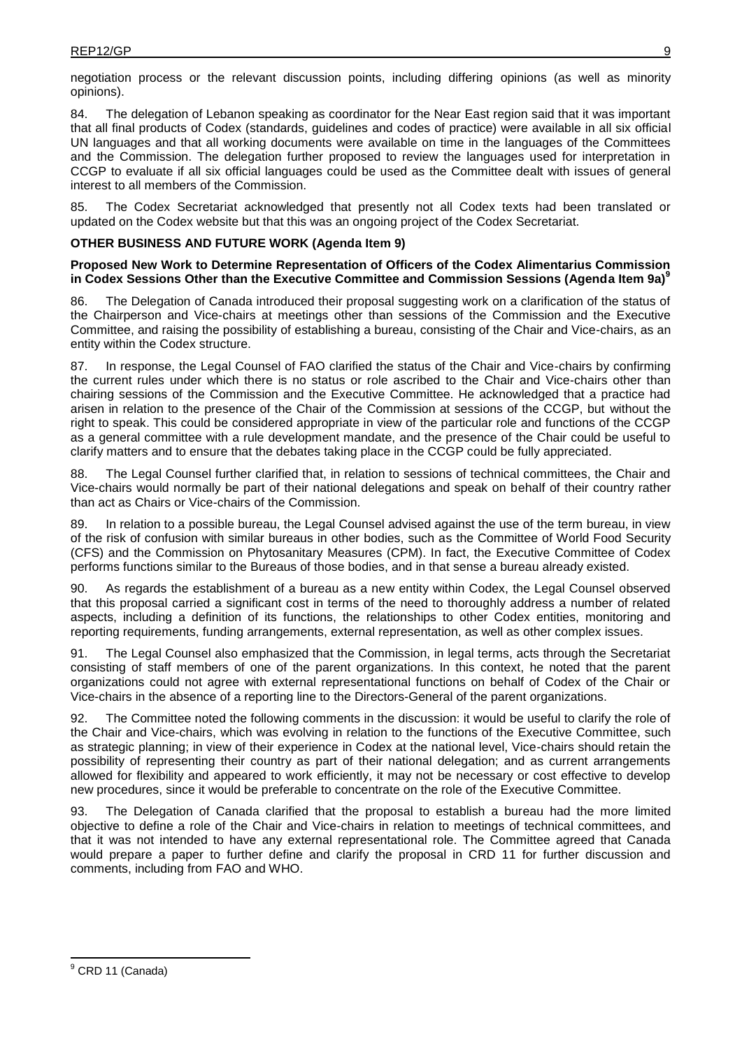negotiation process or the relevant discussion points, including differing opinions (as well as minority opinions).

84. The delegation of Lebanon speaking as coordinator for the Near East region said that it was important that all final products of Codex (standards, guidelines and codes of practice) were available in all six official UN languages and that all working documents were available on time in the languages of the Committees and the Commission. The delegation further proposed to review the languages used for interpretation in CCGP to evaluate if all six official languages could be used as the Committee dealt with issues of general interest to all members of the Commission.

85. The Codex Secretariat acknowledged that presently not all Codex texts had been translated or updated on the Codex website but that this was an ongoing project of the Codex Secretariat.

#### **OTHER BUSINESS AND FUTURE WORK (Agenda Item 9)**

#### **Proposed New Work to Determine Representation of Officers of the Codex Alimentarius Commission in Codex Sessions Other than the Executive Committee and Commission Sessions (Agenda Item 9a)<sup>9</sup>**

86. The Delegation of Canada introduced their proposal suggesting work on a clarification of the status of the Chairperson and Vice-chairs at meetings other than sessions of the Commission and the Executive Committee, and raising the possibility of establishing a bureau, consisting of the Chair and Vice-chairs, as an entity within the Codex structure.

87. In response, the Legal Counsel of FAO clarified the status of the Chair and Vice-chairs by confirming the current rules under which there is no status or role ascribed to the Chair and Vice-chairs other than chairing sessions of the Commission and the Executive Committee. He acknowledged that a practice had arisen in relation to the presence of the Chair of the Commission at sessions of the CCGP, but without the right to speak. This could be considered appropriate in view of the particular role and functions of the CCGP as a general committee with a rule development mandate, and the presence of the Chair could be useful to clarify matters and to ensure that the debates taking place in the CCGP could be fully appreciated.

88. The Legal Counsel further clarified that, in relation to sessions of technical committees, the Chair and Vice-chairs would normally be part of their national delegations and speak on behalf of their country rather than act as Chairs or Vice-chairs of the Commission.

In relation to a possible bureau, the Legal Counsel advised against the use of the term bureau, in view of the risk of confusion with similar bureaus in other bodies, such as the Committee of World Food Security (CFS) and the Commission on Phytosanitary Measures (CPM). In fact, the Executive Committee of Codex performs functions similar to the Bureaus of those bodies, and in that sense a bureau already existed.

90. As regards the establishment of a bureau as a new entity within Codex, the Legal Counsel observed that this proposal carried a significant cost in terms of the need to thoroughly address a number of related aspects, including a definition of its functions, the relationships to other Codex entities, monitoring and reporting requirements, funding arrangements, external representation, as well as other complex issues.

91. The Legal Counsel also emphasized that the Commission, in legal terms, acts through the Secretariat consisting of staff members of one of the parent organizations. In this context, he noted that the parent organizations could not agree with external representational functions on behalf of Codex of the Chair or Vice-chairs in the absence of a reporting line to the Directors-General of the parent organizations.

92. The Committee noted the following comments in the discussion: it would be useful to clarify the role of the Chair and Vice-chairs, which was evolving in relation to the functions of the Executive Committee, such as strategic planning; in view of their experience in Codex at the national level, Vice-chairs should retain the possibility of representing their country as part of their national delegation; and as current arrangements allowed for flexibility and appeared to work efficiently, it may not be necessary or cost effective to develop new procedures, since it would be preferable to concentrate on the role of the Executive Committee.

93. The Delegation of Canada clarified that the proposal to establish a bureau had the more limited objective to define a role of the Chair and Vice-chairs in relation to meetings of technical committees, and that it was not intended to have any external representational role. The Committee agreed that Canada would prepare a paper to further define and clarify the proposal in CRD 11 for further discussion and comments, including from FAO and WHO.

<sup>&</sup>lt;sup>9</sup> CRD 11 (Canada)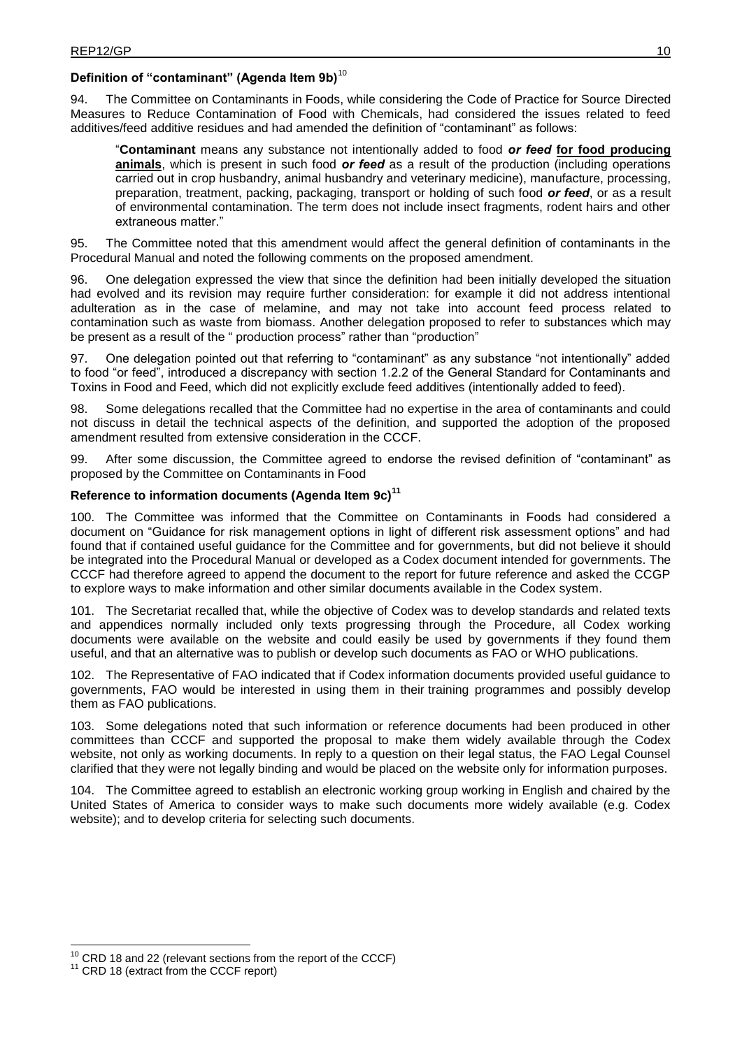# **Definition of "contaminant" (Agenda Item 9b)**<sup>10</sup>

94. The Committee on Contaminants in Foods, while considering the Code of Practice for Source Directed Measures to Reduce Contamination of Food with Chemicals, had considered the issues related to feed additives/feed additive residues and had amended the definition of "contaminant" as follows:

"**Contaminant** means any substance not intentionally added to food *or feed* **for food producing animals**, which is present in such food *or feed* as a result of the production (including operations carried out in crop husbandry, animal husbandry and veterinary medicine), manufacture, processing, preparation, treatment, packing, packaging, transport or holding of such food *or feed*, or as a result of environmental contamination. The term does not include insect fragments, rodent hairs and other extraneous matter."

95. The Committee noted that this amendment would affect the general definition of contaminants in the Procedural Manual and noted the following comments on the proposed amendment.

96. One delegation expressed the view that since the definition had been initially developed the situation had evolved and its revision may require further consideration: for example it did not address intentional adulteration as in the case of melamine, and may not take into account feed process related to contamination such as waste from biomass. Another delegation proposed to refer to substances which may be present as a result of the " production process" rather than "production"

97. One delegation pointed out that referring to "contaminant" as any substance "not intentionally" added to food "or feed", introduced a discrepancy with section 1.2.2 of the General Standard for Contaminants and Toxins in Food and Feed, which did not explicitly exclude feed additives (intentionally added to feed).

Some delegations recalled that the Committee had no expertise in the area of contaminants and could not discuss in detail the technical aspects of the definition, and supported the adoption of the proposed amendment resulted from extensive consideration in the CCCF.

99. After some discussion, the Committee agreed to endorse the revised definition of "contaminant" as proposed by the Committee on Contaminants in Food

#### **Reference to information documents (Agenda Item 9c)<sup>11</sup>**

100. The Committee was informed that the Committee on Contaminants in Foods had considered a document on "Guidance for risk management options in light of different risk assessment options" and had found that if contained useful guidance for the Committee and for governments, but did not believe it should be integrated into the Procedural Manual or developed as a Codex document intended for governments. The CCCF had therefore agreed to append the document to the report for future reference and asked the CCGP to explore ways to make information and other similar documents available in the Codex system.

101. The Secretariat recalled that, while the objective of Codex was to develop standards and related texts and appendices normally included only texts progressing through the Procedure, all Codex working documents were available on the website and could easily be used by governments if they found them useful, and that an alternative was to publish or develop such documents as FAO or WHO publications.

102. The Representative of FAO indicated that if Codex information documents provided useful guidance to governments, FAO would be interested in using them in their training programmes and possibly develop them as FAO publications.

103. Some delegations noted that such information or reference documents had been produced in other committees than CCCF and supported the proposal to make them widely available through the Codex website, not only as working documents. In reply to a question on their legal status, the FAO Legal Counsel clarified that they were not legally binding and would be placed on the website only for information purposes.

104. The Committee agreed to establish an electronic working group working in English and chaired by the United States of America to consider ways to make such documents more widely available (e.g. Codex website); and to develop criteria for selecting such documents.

 $10$  CRD 18 and 22 (relevant sections from the report of the CCCF)

<sup>&</sup>lt;sup>11</sup> CRD 18 (extract from the CCCF report)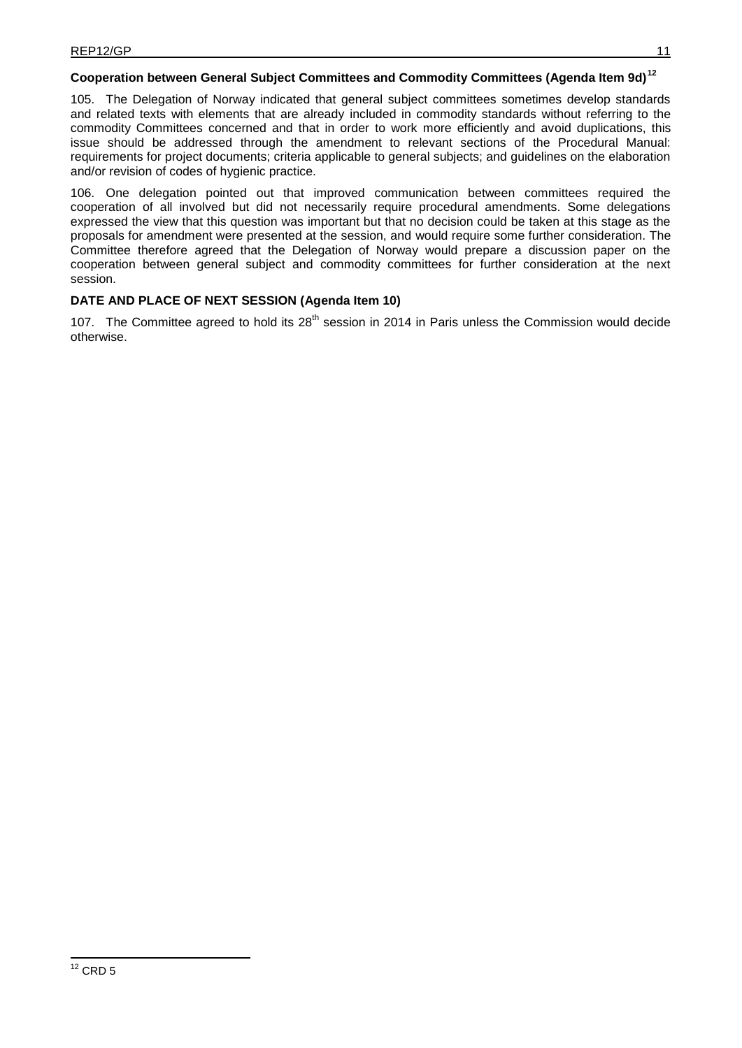# **Cooperation between General Subject Committees and Commodity Committees (Agenda Item 9d)<sup>12</sup>**

105. The Delegation of Norway indicated that general subject committees sometimes develop standards and related texts with elements that are already included in commodity standards without referring to the commodity Committees concerned and that in order to work more efficiently and avoid duplications, this issue should be addressed through the amendment to relevant sections of the Procedural Manual: requirements for project documents; criteria applicable to general subjects; and guidelines on the elaboration and/or revision of codes of hygienic practice.

106. One delegation pointed out that improved communication between committees required the cooperation of all involved but did not necessarily require procedural amendments. Some delegations expressed the view that this question was important but that no decision could be taken at this stage as the proposals for amendment were presented at the session, and would require some further consideration. The Committee therefore agreed that the Delegation of Norway would prepare a discussion paper on the cooperation between general subject and commodity committees for further consideration at the next session.

### **DATE AND PLACE OF NEXT SESSION (Agenda Item 10)**

107. The Committee agreed to hold its 28<sup>th</sup> session in 2014 in Paris unless the Commission would decide otherwise.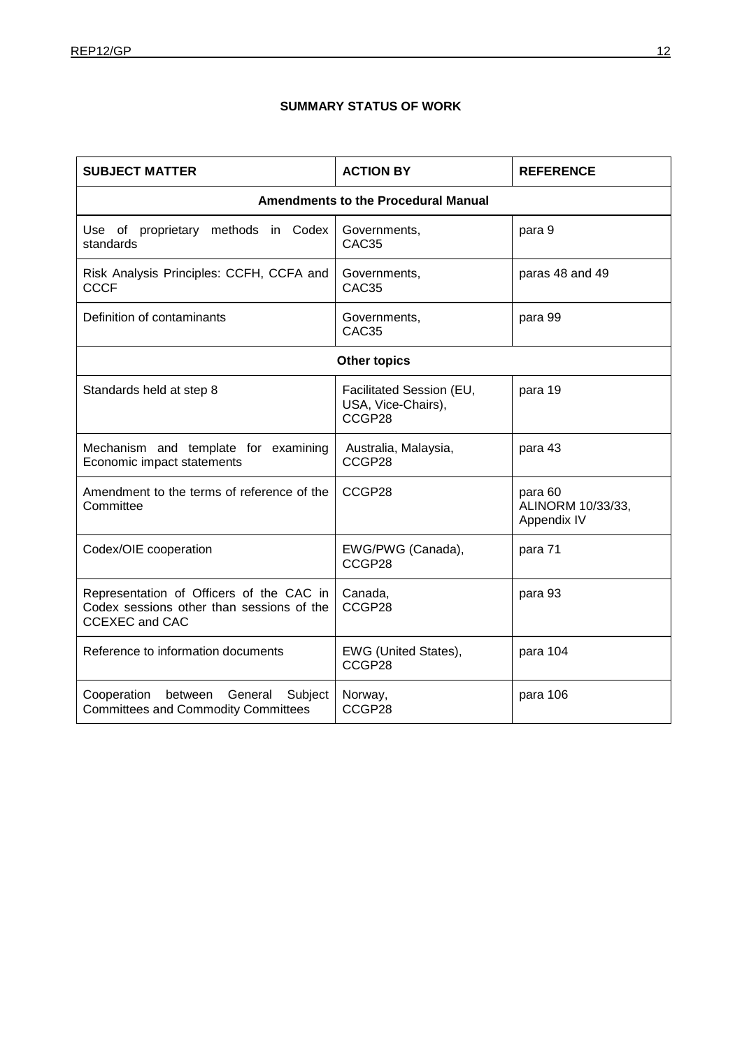# **SUMMARY STATUS OF WORK**

| <b>SUBJECT MATTER</b>                                                                                          | <b>ACTION BY</b>                                         | <b>REFERENCE</b>                            |  |  |
|----------------------------------------------------------------------------------------------------------------|----------------------------------------------------------|---------------------------------------------|--|--|
| <b>Amendments to the Procedural Manual</b>                                                                     |                                                          |                                             |  |  |
| Use of proprietary methods in Codex<br>standards                                                               | Governments,<br>CAC <sub>35</sub>                        | para 9                                      |  |  |
| Risk Analysis Principles: CCFH, CCFA and<br><b>CCCF</b>                                                        | Governments,<br>CAC <sub>35</sub>                        | paras 48 and 49                             |  |  |
| Definition of contaminants                                                                                     | Governments,<br>CAC <sub>35</sub>                        | para 99                                     |  |  |
| <b>Other topics</b>                                                                                            |                                                          |                                             |  |  |
| Standards held at step 8                                                                                       | Facilitated Session (EU,<br>USA, Vice-Chairs),<br>CCGP28 | para 19                                     |  |  |
| Mechanism and template for examining<br>Economic impact statements                                             | Australia, Malaysia,<br>CCGP28                           | para 43                                     |  |  |
| Amendment to the terms of reference of the<br>Committee                                                        | CCGP28                                                   | para 60<br>ALINORM 10/33/33,<br>Appendix IV |  |  |
| Codex/OIE cooperation                                                                                          | EWG/PWG (Canada),<br>CCGP28                              | para 71                                     |  |  |
| Representation of Officers of the CAC in<br>Codex sessions other than sessions of the<br><b>CCEXEC and CAC</b> | Canada,<br>CCGP28                                        | para 93                                     |  |  |
| Reference to information documents                                                                             | EWG (United States),<br>CCGP28                           | para 104                                    |  |  |
| Cooperation<br>between General<br>Subject<br><b>Committees and Commodity Committees</b>                        | Norway,<br>CCGP28                                        | para 106                                    |  |  |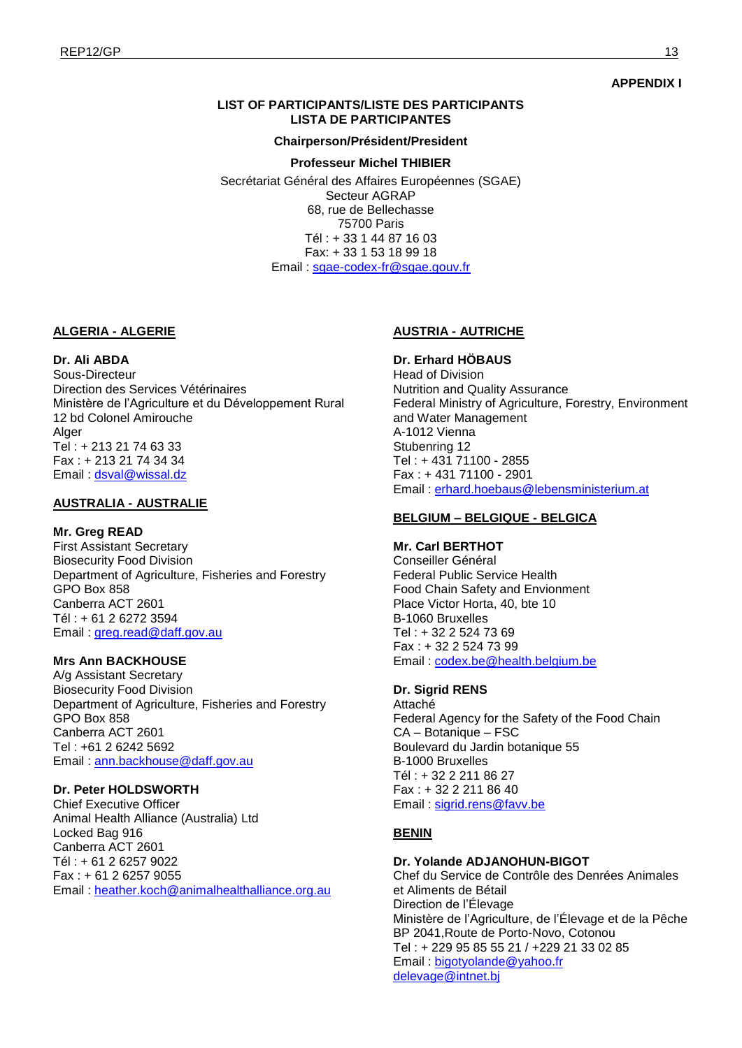#### **APPENDIX I**

### **LIST OF PARTICIPANTS/LISTE DES PARTICIPANTS LISTA DE PARTICIPANTES**

#### **Chairperson/Président/President**

#### **Professeur Michel THIBIER**

Secrétariat Général des Affaires Européennes (SGAE) Secteur AGRAP 68, rue de Bellechasse 75700 Paris Tél : + 33 1 44 87 16 03 Fax: + 33 1 53 18 99 18 Email : [sgae-codex-fr@sgae.gouv.fr](mailto:sgae-codex-fr@sgae.gouv.fr)

#### **ALGERIA - ALGERIE**

#### **Dr. Ali ABDA**

Sous-Directeur Direction des Services Vétérinaires Ministère de l'Agriculture et du Développement Rural 12 bd Colonel Amirouche **Alger** Tel : + 213 21 74 63 33 Fax : + 213 21 74 34 34 Email : [dsval@wissal.dz](mailto:dsval@wissal.dz) 

#### **AUSTRALIA - AUSTRALIE**

#### **Mr. Greg READ**

First Assistant Secretary Biosecurity Food Division Department of Agriculture, Fisheries and Forestry GPO Box 858 Canberra ACT 2601 Tél : + 61 2 6272 3594 Email : [greg.read@daff.gov.au](mailto:greg.read@daff.gov.au)

#### **Mrs Ann BACKHOUSE**

A/g Assistant Secretary Biosecurity Food Division Department of Agriculture, Fisheries and Forestry GPO Box 858 Canberra ACT 2601 Tel : +61 2 6242 5692 Email : [ann.backhouse@daff.gov.au](mailto:ann.backhouse@daff.gov.au)

### **Dr. Peter HOLDSWORTH**

Chief Executive Officer Animal Health Alliance (Australia) Ltd Locked Bag 916 Canberra ACT 2601 Tél : + 61 2 6257 9022 Fax : + 61 2 6257 9055 Email : [heather.koch@animalhealthalliance.org.au](mailto:heather.koch@animalhealthalliance.org.au)

#### **AUSTRIA - AUTRICHE**

**Dr. Erhard HÖBAUS**  Head of Division Nutrition and Quality Assurance Federal Ministry of Agriculture, Forestry, Environment and Water Management A-1012 Vienna Stubenring 12 Tel : + 431 71100 - 2855 Fax : + 431 71100 - 2901 Email : [erhard.hoebaus@lebensministerium.at](mailto:erhard.hoebaus@lebensministerium.at)

### **BELGIUM – BELGIQUE - BELGICA**

#### **Mr. Carl BERTHOT**  Conseiller Général

Federal Public Service Health Food Chain Safety and Envionment Place Victor Horta, 40, bte 10 B-1060 Bruxelles Tel : + 32 2 524 73 69 Fax : + 32 2 524 73 99 Email: [codex.be@health.belgium.be](mailto:codex.be@health.belgium.be)

#### **Dr. Sigrid RENS**

Attaché Federal Agency for the Safety of the Food Chain CA – Botanique – FSC Boulevard du Jardin botanique 55 B-1000 Bruxelles Tél : + 32 2 211 86 27 Fax : + 32 2 211 86 40 Email : [sigrid.rens@favv.be](mailto:sigrid.rens@favv.be)

#### **BENIN**

#### **Dr. Yolande ADJANOHUN-BIGOT**

Chef du Service de Contrôle des Denrées Animales et Aliments de Bétail Direction de l'Élevage Ministère de l'Agriculture, de l'Élevage et de la Pêche BP 2041,Route de Porto-Novo, Cotonou Tel : + 229 95 85 55 21 / +229 21 33 02 85 Email : [bigotyolande@yahoo.fr](mailto:bigotyolande@yahoo.fr) [delevage@intnet.bj](mailto:delevage@intnet.bj)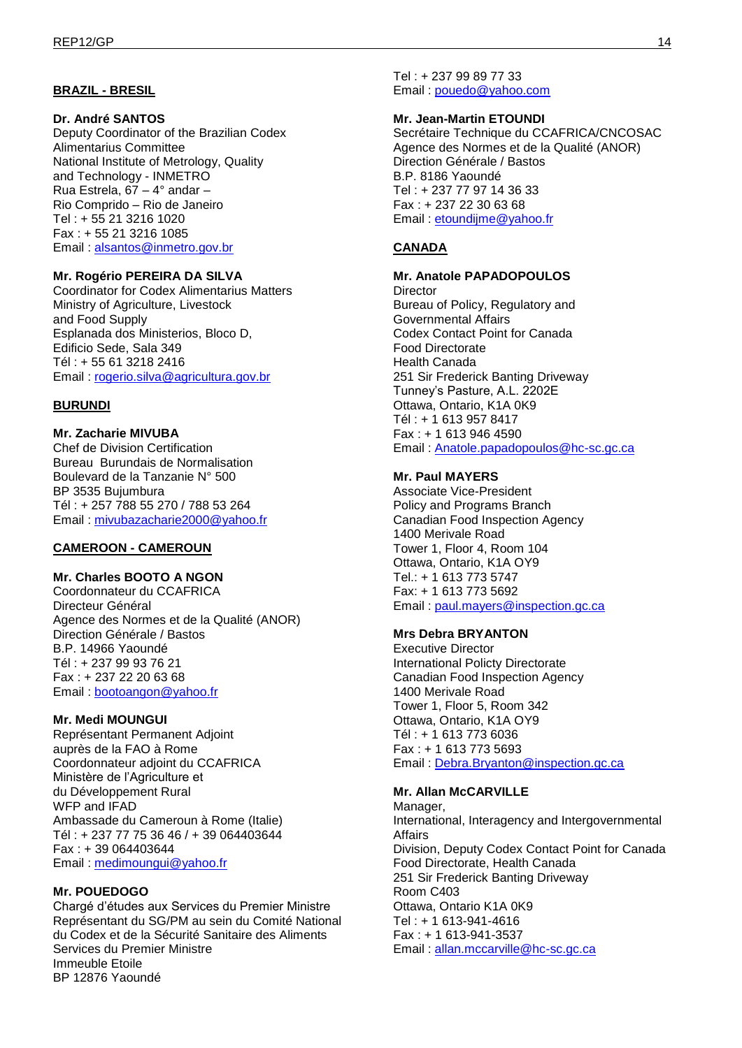### **BRAZIL - BRESIL**

#### **Dr. André SANTOS**

Deputy Coordinator of the Brazilian Codex Alimentarius Committee National Institute of Metrology, Quality and Technology - INMETRO Rua Estrela, 67 – 4° andar – Rio Comprido – Rio de Janeiro Tel : + 55 21 3216 1020 Fax : + 55 21 3216 1085 Email : [alsantos@inmetro.gov.br](mailto:alsantos@inmetro.gov.br)

### **Mr. Rogério PEREIRA DA SILVA**

Coordinator for Codex Alimentarius Matters Ministry of Agriculture, Livestock and Food Supply Esplanada dos Ministerios, Bloco D, Edificio Sede, Sala 349 Tél : + 55 61 3218 2416 Email : [rogerio.silva@agricultura.gov.br](mailto:rogerio.silva@agricultura.gov.br)

#### **BURUNDI**

### **Mr. Zacharie MIVUBA**

Chef de Division Certification Bureau Burundais de Normalisation Boulevard de la Tanzanie N° 500 BP 3535 Bujumbura Tél : + 257 788 55 270 / 788 53 264 Email : [mivubazacharie2000@yahoo.fr](mailto:mivubazacharie2000@yahoo.fr)

### **CAMEROON - CAMEROUN**

### **Mr. Charles BOOTO A NGON**

Coordonnateur du CCAFRICA Directeur Général Agence des Normes et de la Qualité (ANOR) Direction Générale / Bastos B.P. 14966 Yaoundé Tél : + 237 99 93 76 21 Fax : + 237 22 20 63 68 Email : [bootoangon@yahoo.fr](mailto:bootoangon@yahoo.fr)

#### **Mr. Medi MOUNGUI**

Représentant Permanent Adjoint auprès de la FAO à Rome Coordonnateur adjoint du CCAFRICA Ministère de l'Agriculture et du Développement Rural WFP and IFAD Ambassade du Cameroun à Rome (Italie) Tél : + 237 77 75 36 46 / + 39 064403644 Fax : + 39 064403644 Email : [medimoungui@yahoo.fr](mailto:medimoungui@yahoo.fr)

#### **Mr. POUEDOGO**

Chargé d'études aux Services du Premier Ministre Représentant du SG/PM au sein du Comité National du Codex et de la Sécurité Sanitaire des Aliments Services du Premier Ministre Immeuble Etoile BP 12876 Yaoundé

Tel : + 237 99 89 77 33 Email : [pouedo@yahoo.com](mailto:pouedo@yahoo.com)

#### **Mr. Jean-Martin ETOUNDI**

Secrétaire Technique du CCAFRICA/CNCOSAC Agence des Normes et de la Qualité (ANOR) Direction Générale / Bastos B.P. 8186 Yaoundé Tel : + 237 77 97 14 36 33 Fax : + 237 22 30 63 68 Email : [etoundijme@yahoo.fr](mailto:etoundijme@yahoo.fr)

### **CANADA**

#### **Mr. Anatole PAPADOPOULOS**

**Director** Bureau of Policy, Regulatory and Governmental Affairs Codex Contact Point for Canada Food Directorate Health Canada 251 Sir Frederick Banting Driveway Tunney's Pasture, A.L. 2202E Ottawa, Ontario, K1A 0K9 Tél : + 1 613 957 8417 Fax : + 1 613 946 4590 Email : [Anatole.papadopoulos@hc-sc.gc.ca](mailto:Anatole.papadopoulos@hc-sc.gc.ca)

#### **Mr. Paul MAYERS**

Associate Vice-President Policy and Programs Branch Canadian Food Inspection Agency 1400 Merivale Road Tower 1, Floor 4, Room 104 Ottawa, Ontario, K1A OY9 Tel.: + 1 613 773 5747 Fax: + 1 613 773 5692 Email : [paul.mayers@inspection.gc.ca](mailto:paul.mayers@inspection.gc.ca)

### **Mrs Debra BRYANTON**

Executive Director International Policty Directorate Canadian Food Inspection Agency 1400 Merivale Road Tower 1, Floor 5, Room 342 Ottawa, Ontario, K1A OY9 Tél : + 1 613 773 6036 Fax : + 1 613 773 5693 Email : [Debra.Bryanton@inspection.gc.ca](mailto:Debra.Bryanton@inspection.gc.ca)

#### **Mr. Allan McCARVILLE**

Manager, International, Interagency and Intergovernmental Affairs Division, Deputy Codex Contact Point for Canada Food Directorate, Health Canada 251 Sir Frederick Banting Driveway Room C403 Ottawa, Ontario K1A 0K9 Tel : + 1 613-941-4616 Fax : + 1 613-941-3537 Email : [allan.mccarville@hc-sc.gc.ca](mailto:allan.mccarville@hc-sc.gc.ca)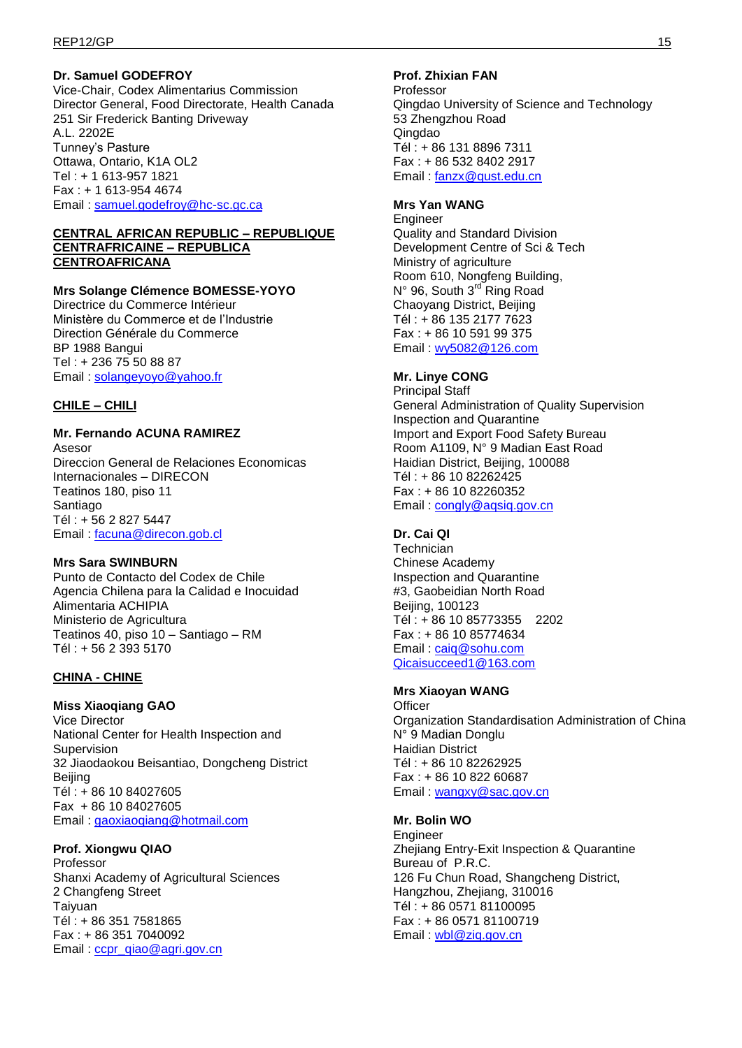### **Dr. Samuel GODEFROY**

Vice-Chair, Codex Alimentarius Commission Director General, Food Directorate, Health Canada 251 Sir Frederick Banting Driveway A.L. 2202E Tunney's Pasture Ottawa, Ontario, K1A OL2 Tel : + 1 613-957 1821 Fax : + 1 613-954 4674 Email : [samuel.godefroy@hc-sc.gc.ca](mailto:samuel.godefroy@hc-sc.gc.ca)

#### **CENTRAL AFRICAN REPUBLIC – REPUBLIQUE CENTRAFRICAINE – REPUBLICA CENTROAFRICANA**

### **Mrs Solange Clémence BOMESSE-YOYO**

Directrice du Commerce Intérieur Ministère du Commerce et de l'Industrie Direction Générale du Commerce BP 1988 Bangui Tel : + 236 75 50 88 87 Email : [solangeyoyo@yahoo.fr](mailto:solangeyoyo@yahoo.fr)

### **CHILE – CHILI**

### **Mr. Fernando ACUNA RAMIREZ**

Asesor Direccion General de Relaciones Economicas Internacionales – DIRECON Teatinos 180, piso 11 Santiago Tél : + 56 2 827 5447 Email : [facuna@direcon.gob.cl](mailto:facuna@direcon.gob.cl)

#### **Mrs Sara SWINBURN**

Punto de Contacto del Codex de Chile Agencia Chilena para la Calidad e Inocuidad Alimentaria ACHIPIA Ministerio de Agricultura Teatinos 40, piso 10 – Santiago – RM Tél : + 56 2 393 5170

#### **CHINA - CHINE**

#### **Miss Xiaoqiang GAO**

Vice Director National Center for Health Inspection and Supervision 32 Jiaodaokou Beisantiao, Dongcheng District Beijing Tél : + 86 10 84027605 Fax + 86 10 84027605 Email : [gaoxiaoqiang@hotmail.com](mailto:gaoxiaoqiang@hotmail.com)

#### **Prof. Xiongwu QIAO**

Professor Shanxi Academy of Agricultural Sciences 2 Changfeng Street Taiyuan Tél : + 86 351 7581865 Fax : + 86 351 7040092 Email: [ccpr\\_qiao@agri.gov.cn](mailto:ccpr_qiao@agri.gov.cn)

### **Prof. Zhixian FAN**

Professor Qingdao University of Science and Technology 53 Zhengzhou Road Qingdao Tél : + 86 131 8896 7311 Fax : + 86 532 8402 2917 Email : [fanzx@qust.edu.cn](mailto:fanzx@qust.edu.cn)

#### **Mrs Yan WANG**

**Engineer** Quality and Standard Division Development Centre of Sci & Tech Ministry of agriculture Room 610, Nongfeng Building, N° 96, South 3<sup>rd</sup> Ring Road Chaoyang District, Beijing Tél : + 86 135 2177 7623 Fax : + 86 10 591 99 375 Email : [wy5082@126.com](mailto:wy5082@126.com)

#### **Mr. Linye CONG**

Principal Staff General Administration of Quality Supervision Inspection and Quarantine Import and Export Food Safety Bureau Room A1109, N° 9 Madian East Road Haidian District, Beijing, 100088 Tél : + 86 10 82262425 Fax : + 86 10 82260352 Email : [congly@aqsiq.gov.cn](mailto:congly@aqsiq.gov.cn)

#### **Dr. Cai QI**

**Technician** Chinese Academy Inspection and Quarantine #3, Gaobeidian North Road Beijing, 100123 Tél : + 86 10 85773355 2202 Fax : + 86 10 85774634 Email : [caiq@sohu.com](mailto:caiq@sohu.com) [Qicaisucceed1@163.com](mailto:Qicaisucceed1@163.com)

#### **Mrs Xiaoyan WANG**

**Officer** Organization Standardisation Administration of China N° 9 Madian Donglu Haidian District Tél : + 86 10 82262925 Fax : + 86 10 822 60687 Email: [wangxy@sac.gov.cn](mailto:wangxy@sac.gov.cn)

#### **Mr. Bolin WO**

Engineer Zheijang Entry-Exit Inspection & Quarantine Bureau of P.R.C. 126 Fu Chun Road, Shangcheng District, Hangzhou, Zhejiang, 310016 Tél : + 86 0571 81100095 Fax : + 86 0571 81100719 Email : [wbl@ziq.gov.cn](mailto:wbl@ziq.gov.cn)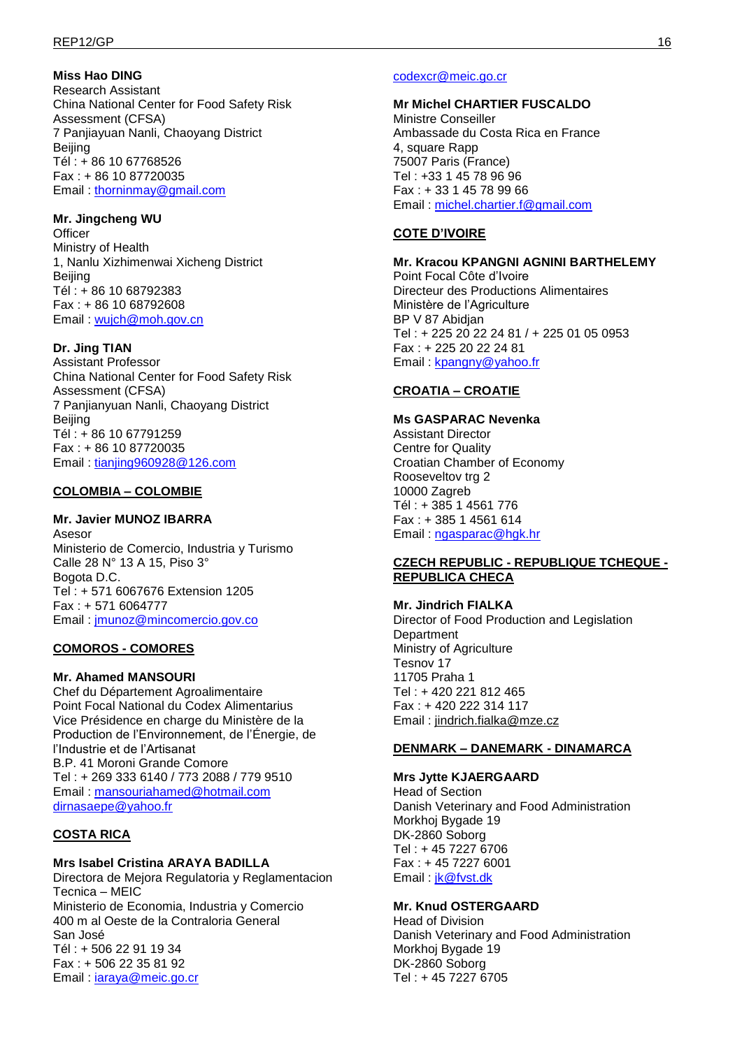### **Miss Hao DING**

Research Assistant China National Center for Food Safety Risk Assessment (CFSA) 7 Panjiayuan Nanli, Chaoyang District Beijing Tél : + 86 10 67768526 Fax : + 86 10 87720035 Email : [thorninmay@gmail.com](mailto:thorninmay@gmail.com)

### **Mr. Jingcheng WU**

**Officer** Ministry of Health 1, Nanlu Xizhimenwai Xicheng District **Beiling** Tél : + 86 10 68792383 Fax : + 86 10 68792608 Email : [wujch@moh.gov.cn](mailto:wujch@moh.gov.cn)

### **Dr. Jing TIAN**

Assistant Professor China National Center for Food Safety Risk Assessment (CFSA) 7 Panjianyuan Nanli, Chaoyang District **Beijing** Tél : + 86 10 67791259 Fax : + 86 10 87720035 Email : [tianjing960928@126.com](mailto:tianjing960928@126.com)

### **COLOMBIA – COLOMBIE**

### **Mr. Javier MUNOZ IBARRA**

Asesor Ministerio de Comercio, Industria y Turismo Calle 28 N° 13 A 15, Piso 3° Bogota D.C. Tel : + 571 6067676 Extension 1205 Fax : + 571 6064777 Email : [jmunoz@mincomercio.gov.co](mailto:jmunoz@mincomercio.gov.co)

### **COMOROS - COMORES**

### **Mr. Ahamed MANSOURI**

Chef du Département Agroalimentaire Point Focal National du Codex Alimentarius Vice Présidence en charge du Ministère de la Production de l'Environnement, de l'Énergie, de l'Industrie et de l'Artisanat B.P. 41 Moroni Grande Comore Tel : + 269 333 6140 / 773 2088 / 779 9510 Email : [mansouriahamed@hotmail.com](mailto:mansouriahamed@hotmail.com) [dirnasaepe@yahoo.fr](mailto:dirnasaepe@yahoo.fr)

### **COSTA RICA**

### **Mrs Isabel Cristina ARAYA BADILLA**

Directora de Mejora Regulatoria y Reglamentacion Tecnica – MEIC Ministerio de Economia, Industria y Comercio 400 m al Oeste de la Contraloria General San José Tél : + 506 22 91 19 34 Fax : + 506 22 35 81 92 Email: *iaraya@meic.go.cr* 

#### [codexcr@meic.go.cr](mailto:codexcr@meic.go.cr)

**Mr Michel CHARTIER FUSCALDO**  Ministre Conseiller Ambassade du Costa Rica en France 4, square Rapp 75007 Paris (France) Tel : +33 1 45 78 96 96 Fax : + 33 1 45 78 99 66 Email : [michel.chartier.f@gmail.com](mailto:michel.chartier.f@gmail.com)

### **COTE D'IVOIRE**

#### **Mr. Kracou KPANGNI AGNINI BARTHELEMY**  Point Focal Côte d'Ivoire Directeur des Productions Alimentaires Ministère de l'Agriculture BP V 87 Abidjan Tel : + 225 20 22 24 81 / + 225 01 05 0953 Fax : + 225 20 22 24 81 Email : [kpangny@yahoo.fr](mailto:kpangny@yahoo.fr)

### **CROATIA – CROATIE**

#### **Ms GASPARAC Nevenka**

Assistant Director Centre for Quality Croatian Chamber of Economy Rooseveltov trg 2 10000 Zagreb Tél : + 385 1 4561 776 Fax : + 385 1 4561 614 Email : [ngasparac@hgk.hr](mailto:ngasparac@hgk.hr)

#### **CZECH REPUBLIC - REPUBLIQUE TCHEQUE - REPUBLICA CHECA**

#### **Mr. Jindrich FIALKA**

Director of Food Production and Legislation **Department** Ministry of Agriculture Tesnov 17 11705 Praha 1 Tel : + 420 221 812 465 Fax : + 420 222 314 117 Email : [jindrich.fialka@mze.cz](mailto:jindrich.fialka@mze.cz)

### **DENMARK – DANEMARK - DINAMARCA**

**Mrs Jytte KJAERGAARD**  Head of Section Danish Veterinary and Food Administration Morkhoj Bygade 19 DK-2860 Soborg Tel : + 45 7227 6706 Fax : + 45 7227 6001 Email: [jk@fvst.dk](mailto:jk@fdir.dk)

### **Mr. Knud OSTERGAARD**

Head of Division Danish Veterinary and Food Administration Morkhoj Bygade 19 DK-2860 Soborg Tel : + 45 7227 6705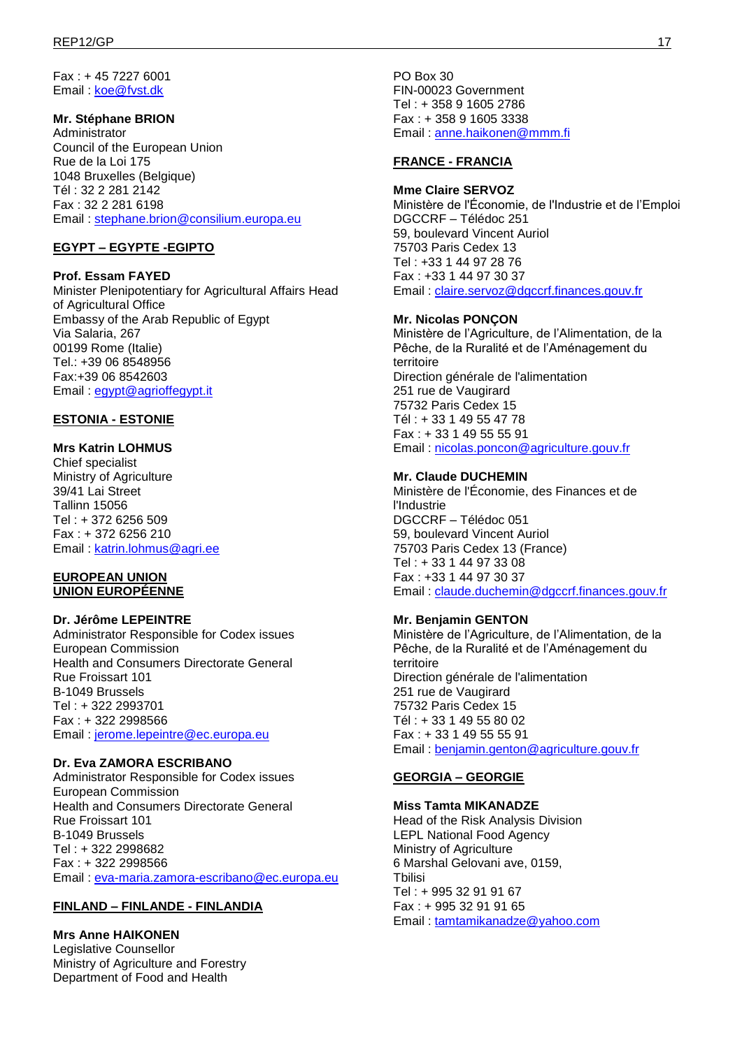Fax : + 45 7227 6001 Email : [koe@fvst.dk](mailto:koe@fdir.dk)

### **Mr. Stéphane BRION**

Administrator Council of the European Union Rue de la Loi 175 1048 Bruxelles (Belgique) Tél : 32 2 281 2142 Fax : 32 2 281 6198 Email : [stephane.brion@consilium.europa.eu](mailto:stephane.brion@consilium.europa.eu)

# **EGYPT – EGYPTE -EGIPTO**

**Prof. Essam FAYED**  Minister Plenipotentiary for Agricultural Affairs Head of Agricultural Office Embassy of the Arab Republic of Egypt Via Salaria, 267 00199 Rome (Italie) Tel.: +39 06 8548956 Fax:+39 06 8542603 Email : [egypt@agrioffegypt.it](mailto:egypt@agrioffegypt.it)

### **ESTONIA - ESTONIE**

#### **Mrs Katrin LOHMUS**

Chief specialist Ministry of Agriculture 39/41 Lai Street Tallinn 15056 Tel : + 372 6256 509 Fax : + 372 6256 210 Email : [katrin.lohmus@agri.ee](mailto:katrin.lohmus@agri.ee)

#### **EUROPEAN UNION UNION EUROPÉENNE**

#### **Dr. Jérôme LEPEINTRE**

Administrator Responsible for Codex issues European Commission Health and Consumers Directorate General Rue Froissart 101 B-1049 Brussels Tel : + 322 2993701 Fax : + 322 2998566 Email : [jerome.lepeintre@ec.europa.eu](mailto:jerome.lepeintre@ec.europa.eu)

#### **Dr. Eva ZAMORA ESCRIBANO**

Administrator Responsible for Codex issues European Commission Health and Consumers Directorate General Rue Froissart 101 B-1049 Brussels Tel : + 322 2998682 Fax : + 322 2998566 Email : [eva-maria.zamora-escribano@ec.europa.eu](mailto:eva-maria.zamora-escribano@ec.europa.eu)

### **FINLAND – FINLANDE - FINLANDIA**

**Mrs Anne HAIKONEN**  Legislative Counsellor Ministry of Agriculture and Forestry Department of Food and Health

PO Box 30 FIN-00023 Government Tel : + 358 9 1605 2786 Fax : + 358 9 1605 3338 Email : [anne.haikonen@mmm.fi](mailto:anne.haikonen@mmm.fi)

### **FRANCE - FRANCIA**

**Mme Claire SERVOZ**  Ministère de l'Économie, de l'Industrie et de l'Emploi DGCCRF – Télédoc 251 59, boulevard Vincent Auriol 75703 Paris Cedex 13 Tel : +33 1 44 97 28 76 Fax : +33 1 44 97 30 37 Email : [claire.servoz@dgccrf.finances.gouv.fr](mailto:claire.servoz@dgccrf.finances.gouv.fr)

#### **Mr. Nicolas PONÇON**

Ministère de l'Agriculture, de l'Alimentation, de la Pêche, de la Ruralité et de l'Aménagement du territoire Direction générale de l'alimentation 251 rue de Vaugirard 75732 Paris Cedex 15 Tél : + 33 1 49 55 47 78 Fax : + 33 1 49 55 55 91 Email : [nicolas.poncon@agriculture.gouv.fr](mailto:nicolas.poncon@agriculture.gouv.fr)

#### **Mr. Claude DUCHEMIN**

Ministère de l'Économie, des Finances et de l'Industrie DGCCRF – Télédoc 051 59, boulevard Vincent Auriol 75703 Paris Cedex 13 (France) Tel : + 33 1 44 97 33 08 Fax : +33 1 44 97 30 37 Email : [claude.duchemin@dgccrf.finances.gouv.fr](mailto:claude.duchemin@dgccrf.finances.gouv.fr)

### **Mr. Benjamin GENTON**

Ministère de l'Agriculture, de l'Alimentation, de la Pêche, de la Ruralité et de l'Aménagement du territoire Direction générale de l'alimentation 251 rue de Vaugirard 75732 Paris Cedex 15 Tél : + 33 1 49 55 80 02 Fax : + 33 1 49 55 55 91 Email : [benjamin.genton@agriculture.gouv.fr](mailto:benjamin.genton@agriculture.gouv.fr)

### **GEORGIA – GEORGIE**

#### **Miss Tamta MIKANADZE**

Head of the Risk Analysis Division LEPL National Food Agency Ministry of Agriculture 6 Marshal Gelovani ave, 0159, **T**bilisi Tel : + 995 32 91 91 67 Fax : + 995 32 91 91 65 Email : [tamtamikanadze@yahoo.com](mailto:tamtamikanadze@yahoo.com)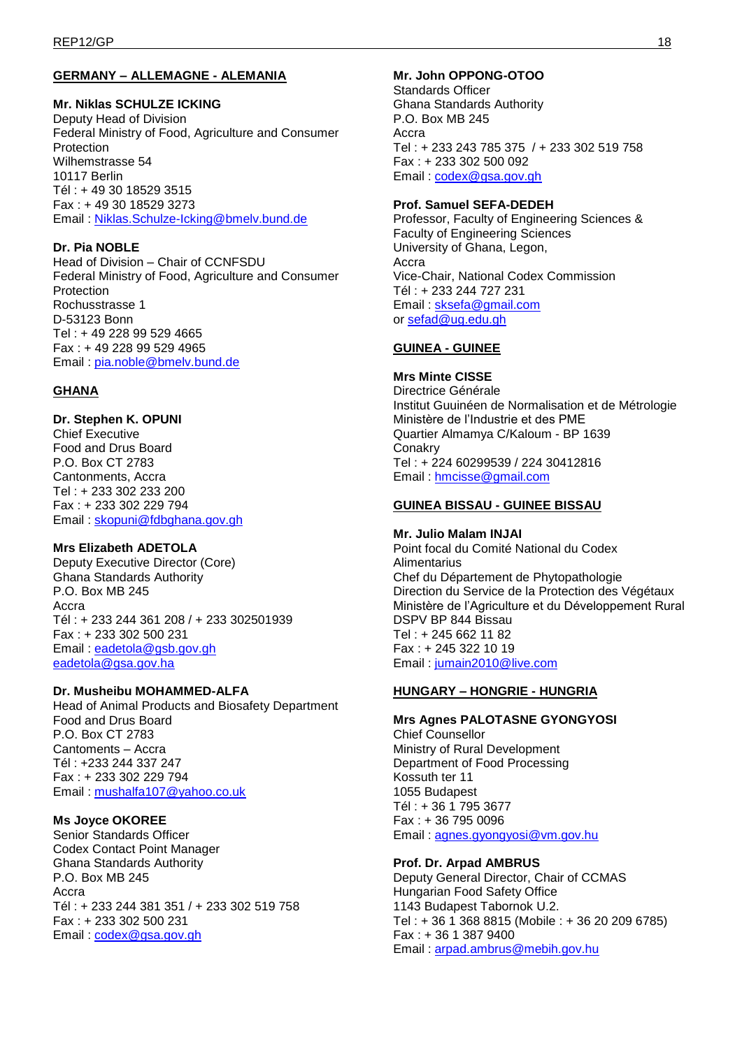# **GERMANY – ALLEMAGNE - ALEMANIA**

### **Mr. Niklas SCHULZE ICKING**

Deputy Head of Division Federal Ministry of Food, Agriculture and Consumer Protection Wilhemstrasse 54 10117 Berlin Tél : + 49 30 18529 3515 Fax : + 49 30 18529 3273 Email : [Niklas.Schulze-Icking@bmelv.bund.de](mailto:Niklas.Schulze-Icking@bmelv.bund.de)

### **Dr. Pia NOBLE**

Head of Division – Chair of CCNFSDU Federal Ministry of Food, Agriculture and Consumer Protection Rochusstrasse 1 D-53123 Bonn Tel : + 49 228 99 529 4665 Fax : + 49 228 99 529 4965 Email : [pia.noble@bmelv.bund.de](mailto:pia.noble@bmelv.bund.de)

# **GHANA**

#### **Dr. Stephen K. OPUNI**  Chief Executive Food and Drus Board P.O. Box CT 2783 Cantonments, Accra Tel : + 233 302 233 200 Fax : + 233 302 229 794

Email : [skopuni@fdbghana.gov.gh](mailto:skopuni@fdbghana.gov.gh)

# **Mrs Elizabeth ADETOLA**

Deputy Executive Director (Core) Ghana Standards Authority P.O. Box MB 245 Accra Tél : + 233 244 361 208 / + 233 302501939 Fax : + 233 302 500 231 Email : [eadetola@gsb.gov.gh](mailto:eadetola@gsb.gov.gh) [eadetola@gsa.gov.ha](mailto:eadetola@gsa.gov.ha)

### **Dr. Musheibu MOHAMMED-ALFA**

Head of Animal Products and Biosafety Department Food and Drus Board P.O. Box CT 2783 Cantoments – Accra Tél : +233 244 337 247 Fax : + 233 302 229 794 Email : [mushalfa107@yahoo.co.uk](mailto:mushalfa107@yahoo.co.uk)

### **Ms Joyce OKOREE**

Senior Standards Officer Codex Contact Point Manager Ghana Standards Authority P.O. Box MB 245 Accra Tél : + 233 244 381 351 / + 233 302 519 758 Fax : + 233 302 500 231 Email : [codex@gsa.gov.gh](mailto:codex@gsa.gov.gh)

# **Mr. John OPPONG-OTOO**

Standards Officer Ghana Standards Authority P.O. Box MB 245 Accra Tel : + 233 243 785 375 / + 233 302 519 758 Fax : + 233 302 500 092 Email : [codex@gsa.gov.gh](mailto:codex@gsa.gov.gh)

### **Prof. Samuel SEFA-DEDEH**

Professor, Faculty of Engineering Sciences & Faculty of Engineering Sciences University of Ghana, Legon, Accra Vice-Chair, National Codex Commission Tél : + 233 244 727 231 Email : [sksefa@gmail.com](mailto:sksefa@gmail.com) or [sefad@ug.edu.gh](mailto:sefad@ug.edu.gh)

### **GUINEA - GUINEE**

#### **Mrs Minte CISSE**  Directrice Générale Institut Guuinéen de Normalisation et de Métrologie Ministère de l'Industrie et des PME Quartier Almamya C/Kaloum - BP 1639 **Conakry** Tel : + 224 60299539 / 224 30412816 Email : [hmcisse@gmail.com](mailto:hmcisse@gmail.com)

### **GUINEA BISSAU - GUINEE BISSAU**

### **Mr. Julio Malam INJAI**

Point focal du Comité National du Codex **Alimentarius** Chef du Département de Phytopathologie Direction du Service de la Protection des Végétaux Ministère de l'Agriculture et du Développement Rural DSPV BP 844 Bissau Tel : + 245 662 11 82 Fax : + 245 322 10 19 Email : [jumain2010@live.com](mailto:jumain2010@live.com)

### **HUNGARY – HONGRIE - HUNGRIA**

# **Mrs Agnes PALOTASNE GYONGYOSI**

Chief Counsellor Ministry of Rural Development Department of Food Processing Kossuth ter 11 1055 Budapest Tél : + 36 1 795 3677 Fax : + 36 795 0096 Email : [agnes.gyongyosi@vm.gov.hu](mailto:agnes.gyongyosi@vm.gov.hu)

### **Prof. Dr. Arpad AMBRUS**

Deputy General Director, Chair of CCMAS Hungarian Food Safety Office 1143 Budapest Tabornok U.2. Tel : + 36 1 368 8815 (Mobile : + 36 20 209 6785) Fax : + 36 1 387 9400 Email : [arpad.ambrus@mebih.gov.hu](mailto:arpad.ambrus@mebih.gov.hu)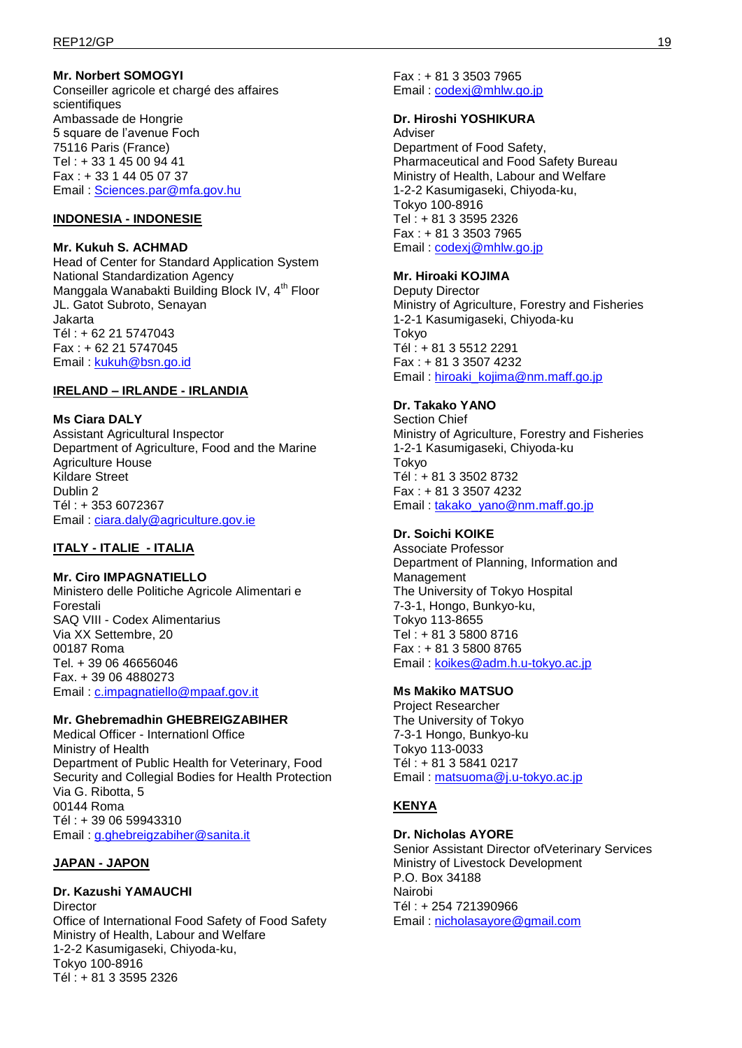### **Mr. Norbert SOMOGYI**

Conseiller agricole et chargé des affaires scientifiques Ambassade de Hongrie 5 square de l'avenue Foch 75116 Paris (France) Tel : + 33 1 45 00 94 41 Fax : + 33 1 44 05 07 37 Email : [Sciences.par@mfa.gov.hu](mailto:Sciences.par@mfa.gov.hu)

### **INDONESIA - INDONESIE**

### **Mr. Kukuh S. ACHMAD**

Head of Center for Standard Application System National Standardization Agency Manggala Wanabakti Building Block IV, 4<sup>th</sup> Floor JL. Gatot Subroto, Senayan Jakarta Tél : + 62 21 5747043 Fax : + 62 21 5747045 Email : [kukuh@bsn.go.id](mailto:kukuh@bsn.go.id)

### **IRELAND – IRLANDE - IRLANDIA**

### **Ms Ciara DALY**

Assistant Agricultural Inspector Department of Agriculture, Food and the Marine Agriculture House Kildare Street Dublin 2 Tél : + 353 6072367 Email : [ciara.daly@agriculture.gov.ie](mailto:ciara.daly@agriculture.gov.ie)

# **ITALY - ITALIE - ITALIA**

**Mr. Ciro IMPAGNATIELLO**  Ministero delle Politiche Agricole Alimentari e Forestali SAQ VIII - Codex Alimentarius Via XX Settembre, 20 00187 Roma Tel. + 39 06 46656046 Fax. + 39 06 4880273 Email : [c.impagnatiello@mpaaf.gov.it](mailto:c.impagnatiello@mpaaf.gov.it)

### **Mr. Ghebremadhin GHEBREIGZABIHER**

Medical Officer - Internationl Office Ministry of Health Department of Public Health for Veterinary, Food Security and Collegial Bodies for Health Protection Via G. Ribotta, 5 00144 Roma Tél : + 39 06 59943310 Email : [g.ghebreigzabiher@sanita.it](mailto:g.ghebreigzabiher@sanita.it)

# **JAPAN - JAPON**

**Dr. Kazushi YAMAUCHI Director** Office of International Food Safety of Food Safety Ministry of Health, Labour and Welfare 1-2-2 Kasumigaseki, Chiyoda-ku, Tokyo 100-8916 Tél : + 81 3 3595 2326

Fax : + 81 3 3503 7965 Email : [codexj@mhlw.go.jp](mailto:codexj@mhlw.go.jp)

### **Dr. Hiroshi YOSHIKURA**

Adviser Department of Food Safety, Pharmaceutical and Food Safety Bureau Ministry of Health, Labour and Welfare 1-2-2 Kasumigaseki, Chiyoda-ku, Tokyo 100-8916 Tel : + 81 3 3595 2326 Fax : + 81 3 3503 7965 Email : [codexj@mhlw.go.jp](mailto:codexj@mhlw.go.jp)

### **Mr. Hiroaki KOJIMA**

Deputy Director Ministry of Agriculture, Forestry and Fisheries 1-2-1 Kasumigaseki, Chiyoda-ku Tokyo Tél : + 81 3 5512 2291 Fax : + 81 3 3507 4232 Email : hiroaki kojima@nm.maff.go.jp

### **Dr. Takako YANO**

Section Chief Ministry of Agriculture, Forestry and Fisheries 1-2-1 Kasumigaseki, Chiyoda-ku Tokyo Tél : + 81 3 3502 8732 Fax : + 81 3 3507 4232 Email : [takako\\_yano@nm.maff.go.jp](mailto:takako_yano@nm.maff.go.jp)

### **Dr. Soichi KOIKE**

Associate Professor Department of Planning, Information and Management The University of Tokyo Hospital 7-3-1, Hongo, Bunkyo-ku, Tokyo 113-8655 Tel : + 81 3 5800 8716 Fax : + 81 3 5800 8765 Email : [koikes@adm.h.u-tokyo.ac.jp](mailto:koikes@adm.h.u-tokyo.ac.jp)

# **Ms Makiko MATSUO**

Project Researcher The University of Tokyo 7-3-1 Hongo, Bunkyo-ku Tokyo 113-0033 Tél : + 81 3 5841 0217 Email : [matsuoma@j.u-tokyo.ac.jp](mailto:matsuoma@j.u-tokyo.ac.jp)

# **KENYA**

### **Dr. Nicholas AYORE**

Senior Assistant Director ofVeterinary Services Ministry of Livestock Development P.O. Box 34188 Nairobi Tél : + 254 721390966 Email : [nicholasayore@gmail.com](mailto:nicholasayore@gmail.com)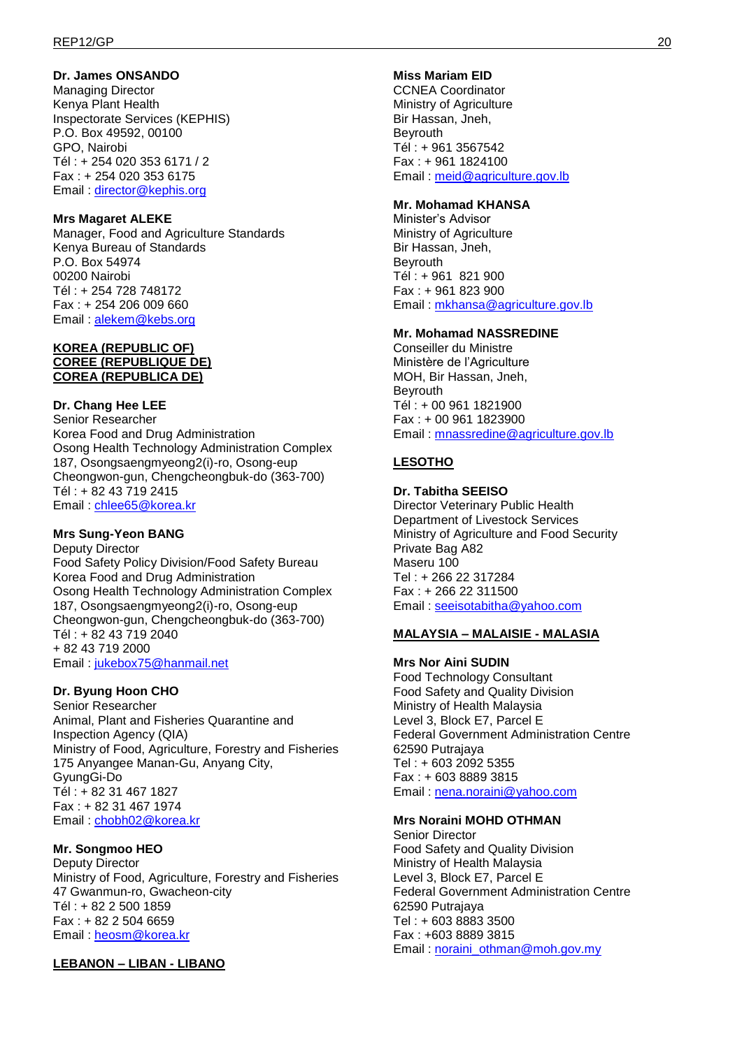### **Dr. James ONSANDO**

Managing Director Kenya Plant Health Inspectorate Services (KEPHIS) P.O. Box 49592, 00100 GPO, Nairobi Tél : + 254 020 353 6171 / 2 Fax : + 254 020 353 6175 Email: [director@kephis.org](mailto:director@kephis.org)

### **Mrs Magaret ALEKE**

Manager, Food and Agriculture Standards Kenya Bureau of Standards P.O. Box 54974 00200 Nairobi Tél : + 254 728 748172 Fax : + 254 206 009 660 Email : [alekem@kebs.org](mailto:alekem@kebs.org)

### **KOREA (REPUBLIC OF) COREE (REPUBLIQUE DE) COREA (REPUBLICA DE)**

#### **Dr. Chang Hee LEE**

Senior Researcher Korea Food and Drug Administration Osong Health Technology Administration Complex 187, Osongsaengmyeong2(i)-ro, Osong-eup Cheongwon-gun, Chengcheongbuk-do (363-700) Tél : + 82 43 719 2415 Email : [chlee65@korea.kr](mailto:chlee65@korea.kr)

#### **Mrs Sung-Yeon BANG**

Deputy Director Food Safety Policy Division/Food Safety Bureau Korea Food and Drug Administration Osong Health Technology Administration Complex 187, Osongsaengmyeong2(i)-ro, Osong-eup Cheongwon-gun, Chengcheongbuk-do (363-700) Tél : + 82 43 719 2040 + 82 43 719 2000 Email : [jukebox75@hanmail.net](mailto:jukebox75@hanmail.net)

### **Dr. Byung Hoon CHO**

Senior Researcher Animal, Plant and Fisheries Quarantine and Inspection Agency (QIA) Ministry of Food, Agriculture, Forestry and Fisheries 175 Anyangee Manan-Gu, Anyang City, GyungGi-Do Tél : + 82 31 467 1827 Fax : + 82 31 467 1974 Email : [chobh02@korea.kr](mailto:chobh02@korea.kr)

#### **Mr. Songmoo HEO**

Deputy Director Ministry of Food, Agriculture, Forestry and Fisheries 47 Gwanmun-ro, Gwacheon-city Tél : + 82 2 500 1859 Fax : + 82 2 504 6659 Email : [heosm@korea.kr](mailto:heosm@korea.kr)

**LEBANON – LIBAN - LIBANO**

### **Miss Mariam EID**

CCNEA Coordinator Ministry of Agriculture Bir Hassan, Jneh, Beyrouth Tél : + 961 3567542 Fax : + 961 1824100 Email : [meid@agriculture.gov.lb](mailto:meid@agriculture.gov.lb)

#### **Mr. Mohamad KHANSA**

Minister's Advisor Ministry of Agriculture Bir Hassan, Jneh, Beyrouth Tél : + 961 821 900 Fax : + 961 823 900 Email : [mkhansa@agriculture.gov.lb](mailto:mkhansa@agriculture.gov.lb)

### **Mr. Mohamad NASSREDINE**

Conseiller du Ministre Ministère de l'Agriculture MOH, Bir Hassan, Jneh, **Beyrouth** Tél : + 00 961 1821900 Fax : + 00 961 1823900 Email : [mnassredine@agriculture.gov.lb](mailto:mnassredine@agriculture.gov.lb)

### **LESOTHO**

#### **Dr. Tabitha SEEISO**

Director Veterinary Public Health Department of Livestock Services Ministry of Agriculture and Food Security Private Bag A82 Maseru 100 Tel : + 266 22 317284 Fax : + 266 22 311500 Email : [seeisotabitha@yahoo.com](mailto:seeisotabitha@yahoo.com)

#### **MALAYSIA – MALAISIE - MALASIA**

**Mrs Nor Aini SUDIN**  Food Technology Consultant Food Safety and Quality Division Ministry of Health Malaysia Level 3, Block E7, Parcel E Federal Government Administration Centre 62590 Putrajaya Tel : + 603 2092 5355 Fax : + 603 8889 3815 Email : [nena.noraini@yahoo.com](mailto:nena.noraini@yahoo.com)

#### **Mrs Noraini MOHD OTHMAN**

Senior Director Food Safety and Quality Division Ministry of Health Malaysia Level 3, Block E7, Parcel E Federal Government Administration Centre 62590 Putrajaya Tel : + 603 8883 3500 Fax : +603 8889 3815 Email : [noraini\\_othman@moh.gov.my](mailto:noraini_othman@moh.gov.my)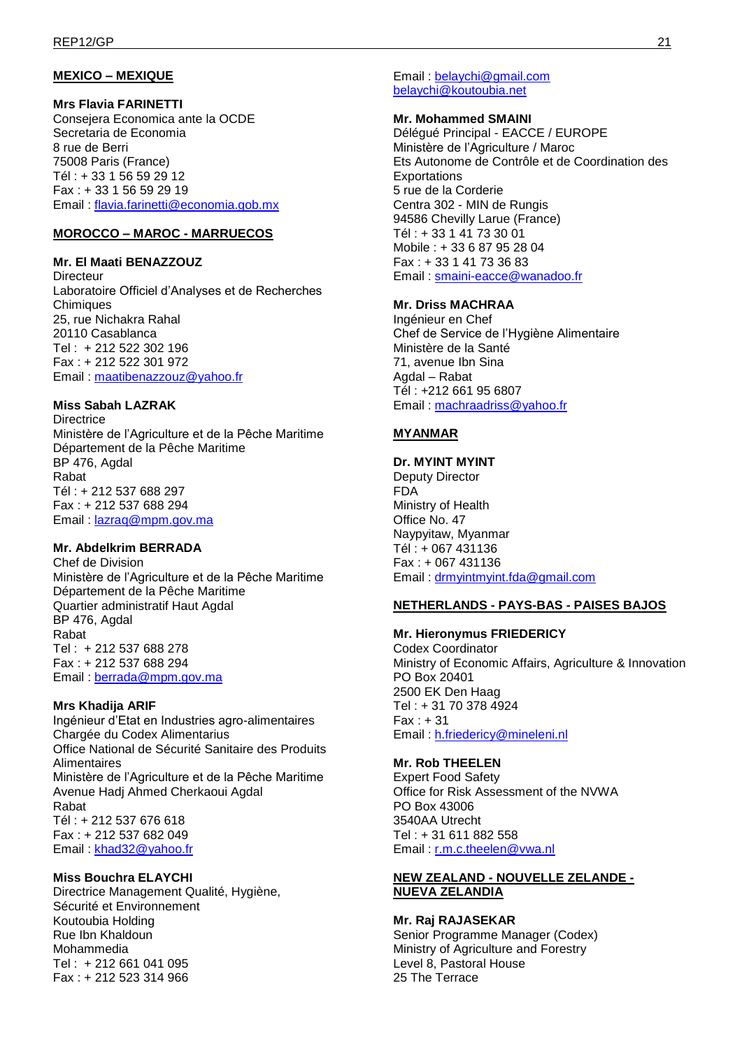# **MEXICO – MEXIQUE**

### **Mrs Flavia FARINETTI**

Consejera Economica ante la OCDE Secretaria de Economia 8 rue de Berri 75008 Paris (France) Tél : + 33 1 56 59 29 12 Fax : + 33 1 56 59 29 19 Email : [flavia.farinetti@economia.gob.mx](mailto:flavia.farinetti@economia.gob.mx)

### **MOROCCO – MAROC - MARRUECOS**

### **Mr. El Maati BENAZZOUZ**

**Directeur** Laboratoire Officiel d'Analyses et de Recherches Chimiques 25, rue Nichakra Rahal 20110 Casablanca Tel : + 212 522 302 196 Fax : + 212 522 301 972 Email : [maatibenazzouz@yahoo.fr](mailto:maatibenazzouz@yahoo.fr)

### **Miss Sabah LAZRAK**

**Directrice** Ministère de l'Agriculture et de la Pêche Maritime Département de la Pêche Maritime BP 476, Agdal Rabat Tél : + 212 537 688 297 Fax : + 212 537 688 294 Email : [lazraq@mpm.gov.ma](mailto:lazraq@mpm.gov.ma)

### **Mr. Abdelkrim BERRADA**

Chef de Division Ministère de l'Agriculture et de la Pêche Maritime Département de la Pêche Maritime Quartier administratif Haut Agdal BP 476, Agdal Rabat Tel : + 212 537 688 278 Fax : + 212 537 688 294 Email : [berrada@mpm.gov.ma](mailto:berrada@mpm.gov.ma)

### **Mrs Khadija ARIF**

Ingénieur d'Etat en Industries agro-alimentaires Chargée du Codex Alimentarius Office National de Sécurité Sanitaire des Produits Alimentaires Ministère de l'Agriculture et de la Pêche Maritime Avenue Hadj Ahmed Cherkaoui Agdal Rabat Tél : + 212 537 676 618 Fax : + 212 537 682 049 Email : [khad32@yahoo.fr](mailto:khad32@yahoo.fr)

### **Miss Bouchra ELAYCHI**

Directrice Management Qualité, Hygiène, Sécurité et Environnement Koutoubia Holding Rue Ibn Khaldoun Mohammedia Tel : + 212 661 041 095 Fax : + 212 523 314 966

Email : [belaychi@gmail.com](mailto:belaychi@gmail.com) [belaychi@koutoubia.net](mailto:belaychi@koutoubia.net)

#### **Mr. Mohammed SMAINI**

Délégué Principal - EACCE / EUROPE Ministère de l'Agriculture / Maroc Ets Autonome de Contrôle et de Coordination des Exportations 5 rue de la Corderie Centra 302 - MIN de Rungis 94586 Chevilly Larue (France) Tél : + 33 1 41 73 30 01 Mobile : + 33 6 87 95 28 04 Fax : + 33 1 41 73 36 83 Email : [smaini-eacce@wanadoo.fr](mailto:smaini-eacce@wanadoo.fr)

### **Mr. Driss MACHRAA**

Ingénieur en Chef Chef de Service de l'Hygiène Alimentaire Ministère de la Santé 71, avenue Ibn Sina Agdal – Rabat Tél : +212 661 95 6807 Email : [machraadriss@yahoo.fr](mailto:machraadriss@yahoo.fr)

### **MYANMAR**

### **Dr. MYINT MYINT**

Deputy Director FDA Ministry of Health Office No. 47 Naypyitaw, Myanmar Tél : + 067 431136 Fax : + 067 431136 Email : [drmyintmyint.fda@gmail.com](mailto:drmyintmyint.fda@gmail.com)

#### **NETHERLANDS - PAYS-BAS - PAISES BAJOS**

### **Mr. Hieronymus FRIEDERICY**

Codex Coordinator Ministry of Economic Affairs, Agriculture & Innovation PO Box 20401 2500 EK Den Haag Tel : + 31 70 378 4924  $Fax : +31$ Email : [h.friedericy@mineleni.nl](mailto:h.friedericy@mineleni.nl)

#### **Mr. Rob THEELEN**

Expert Food Safety Office for Risk Assessment of the NVWA PO Box 43006 3540AA Utrecht Tel : + 31 611 882 558 Email : [r.m.c.theelen@vwa.nl](mailto:r.m.c.theelen@vwa.nl)

#### **NEW ZEALAND - NOUVELLE ZELANDE - NUEVA ZELANDIA**

#### **Mr. Raj RAJASEKAR**  Senior Programme Manager (Codex) Ministry of Agriculture and Forestry Level 8, Pastoral House 25 The Terrace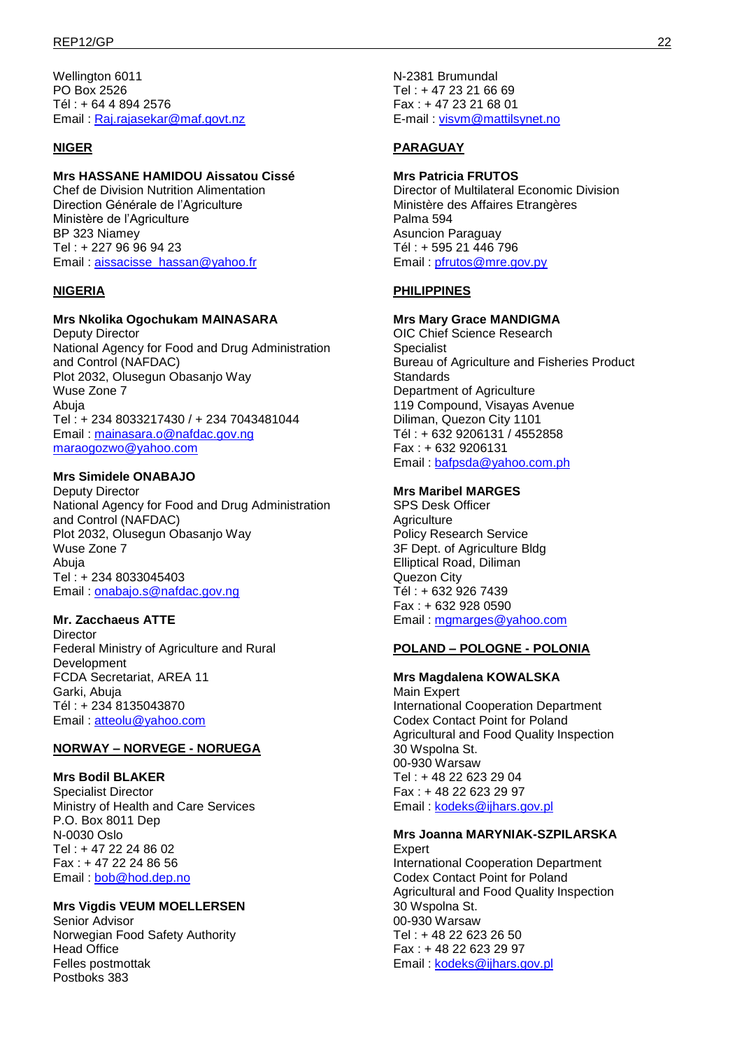Wellington 6011 PO Box 2526 Tél : + 64 4 894 2576 Email : [Raj.rajasekar@maf.govt.nz](mailto:Raj.rajasekar@maf.govt.nz)

### **NIGER**

### **Mrs HASSANE HAMIDOU Aissatou Cissé**

Chef de Division Nutrition Alimentation Direction Générale de l'Agriculture Ministère de l'Agriculture BP 323 Niamey Tel : + 227 96 96 94 23 Email: [aissacisse\\_hassan@yahoo.fr](mailto:aissacisse_hassan@yahoo.fr)

### **NIGERIA**

### **Mrs Nkolika Ogochukam MAINASARA**

Deputy Director National Agency for Food and Drug Administration and Control (NAFDAC) Plot 2032, Olusegun Obasanjo Way Wuse Zone 7 Abuja Tel : + 234 8033217430 / + 234 7043481044 Email : [mainasara.o@nafdac.gov.ng](mailto:mainasara.o@nafdac.gov.ng) [maraogozwo@yahoo.com](mailto:maraogozwo@yahoo.com)

#### **Mrs Simidele ONABAJO**

Deputy Director National Agency for Food and Drug Administration and Control (NAFDAC) Plot 2032, Olusegun Obasanjo Way Wuse Zone 7 Abuja Tel : + 234 8033045403 Email : [onabajo.s@nafdac.gov.ng](mailto:onabajo.s@nafdac.gov.ng)

### **Mr. Zacchaeus ATTE**

**Director** Federal Ministry of Agriculture and Rural Development FCDA Secretariat, AREA 11 Garki, Abuja Tél : + 234 8135043870 Email : [atteolu@yahoo.com](mailto:atteolu@yahoo.com)

### **NORWAY – NORVEGE - NORUEGA**

#### **Mrs Bodil BLAKER**

Specialist Director Ministry of Health and Care Services P.O. Box 8011 Dep N-0030 Oslo Tel : + 47 22 24 86 02 Fax : + 47 22 24 86 56 Email : [bob@hod.dep.no](mailto:bob@hod.dep.no)

#### **Mrs Vigdis VEUM MOELLERSEN**

Senior Advisor Norwegian Food Safety Authority Head Office Felles postmottak Postboks 383

N-2381 Brumundal Tel : + 47 23 21 66 69 Fax : + 47 23 21 68 01 E-mail : [visvm@mattilsynet.no](mailto:visvm@mattilsynet.no)

### **PARAGUAY**

#### **Mrs Patricia FRUTOS**

Director of Multilateral Economic Division Ministère des Affaires Etrangères Palma 594 Asuncion Paraguay Tél : + 595 21 446 796 Email: [pfrutos@mre.gov.py](mailto:pfrutos@mre.gov.py)

### **PHILIPPINES**

#### **Mrs Mary Grace MANDIGMA**

OIC Chief Science Research Specialist Bureau of Agriculture and Fisheries Product **Standards** Department of Agriculture 119 Compound, Visayas Avenue Diliman, Quezon City 1101 Tél : + 632 9206131 / 4552858 Fax : + 632 9206131 Email : [bafpsda@yahoo.com.ph](mailto:bafpsda@yahoo.com.ph)

#### **Mrs Maribel MARGES**

SPS Desk Officer **Agriculture** Policy Research Service 3F Dept. of Agriculture Bldg Elliptical Road, Diliman Quezon City Tél : + 632 926 7439 Fax : + 632 928 0590 Email : [mgmarges@yahoo.com](mailto:mgmarges@yahoo.com)

#### **POLAND – POLOGNE - POLONIA**

### **Mrs Magdalena KOWALSKA**

Main Expert International Cooperation Department Codex Contact Point for Poland Agricultural and Food Quality Inspection 30 Wspolna St. 00-930 Warsaw Tel : + 48 22 623 29 04 Fax : + 48 22 623 29 97 Email : [kodeks@ijhars.gov.pl](mailto:kodeks@ijhars.gov.pl)

#### **Mrs Joanna MARYNIAK-SZPILARSKA Expert**

International Cooperation Department Codex Contact Point for Poland Agricultural and Food Quality Inspection 30 Wspolna St. 00-930 Warsaw Tel : + 48 22 623 26 50 Fax : + 48 22 623 29 97 Email: [kodeks@ijhars.gov.pl](mailto:kodeks@ijhars.gov.pl)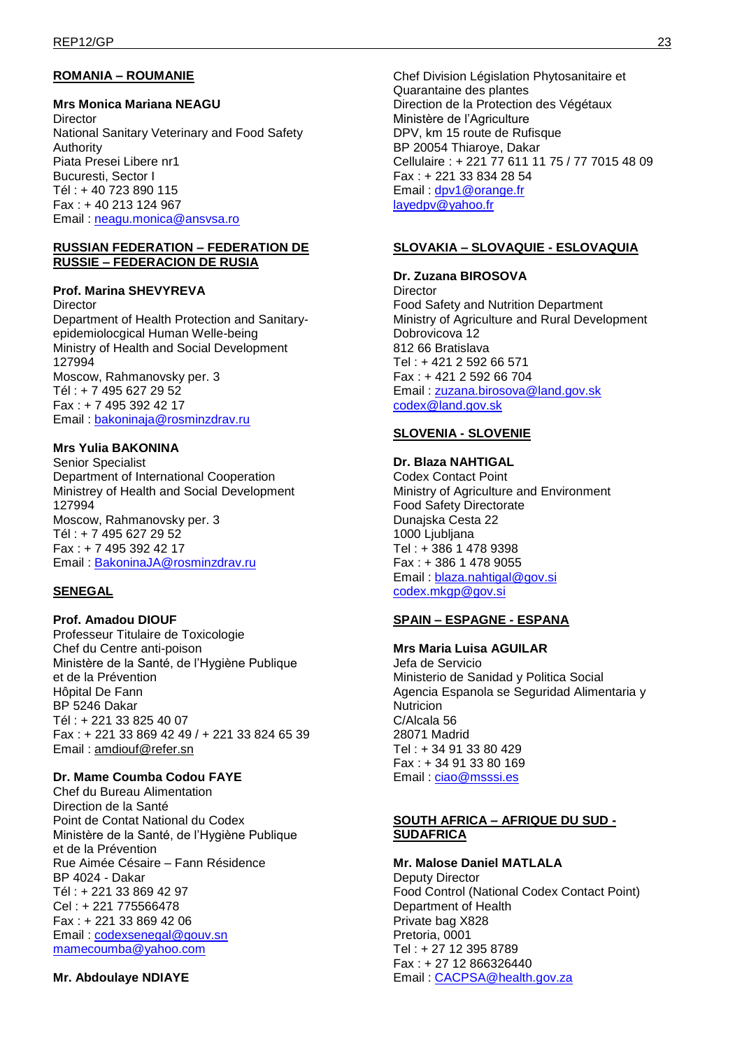# **ROMANIA – ROUMANIE**

#### **Mrs Monica Mariana NEAGU**

**Director** National Sanitary Veterinary and Food Safety Authority Piata Presei Libere nr1 Bucuresti, Sector I Tél : + 40 723 890 115 Fax : + 40 213 124 967 Email : [neagu.monica@ansvsa.ro](mailto:neagu.monica@ansvsa.ro)

#### **RUSSIAN FEDERATION – FEDERATION DE RUSSIE – FEDERACION DE RUSIA**

#### **Prof. Marina SHEVYREVA**

**Director** Department of Health Protection and Sanitaryepidemiolocgical Human Welle-being Ministry of Health and Social Development 127994 Moscow, Rahmanovsky per. 3 Tél : + 7 495 627 29 52 Fax : + 7 495 392 42 17 Email : [bakoninaja@rosminzdrav.ru](mailto:bakoninaja@rosminzdrav.ru)

#### **Mrs Yulia BAKONINA**

Senior Specialist Department of International Cooperation Ministrey of Health and Social Development 127994 Moscow, Rahmanovsky per. 3 Tél : + 7 495 627 29 52 Fax : + 7 495 392 42 17 Email : [BakoninaJA@rosminzdrav.ru](mailto:BakoninaJA@rosminzdrav.ru)

#### **SENEGAL**

### **Prof. Amadou DIOUF**

Professeur Titulaire de Toxicologie Chef du Centre anti-poison Ministère de la Santé, de l'Hygiène Publique et de la Prévention Hôpital De Fann BP 5246 Dakar Tél : + 221 33 825 40 07 Fax : + 221 33 869 42 49 / + 221 33 824 65 39 Email : [amdiouf@refer.sn](mailto:amdiouf@refer.sn)

#### **Dr. Mame Coumba Codou FAYE**

Chef du Bureau Alimentation Direction de la Santé Point de Contat National du Codex Ministère de la Santé, de l'Hygiène Publique et de la Prévention Rue Aimée Césaire – Fann Résidence BP 4024 - Dakar Tél : + 221 33 869 42 97 Cel : + 221 775566478 Fax : + 221 33 869 42 06 Email : [codexsenegal@gouv.sn](mailto:codexsenegal@gouv.sn) [mamecoumba@yahoo.com](mailto:mamecoumba@yahoo.com)

**Mr. Abdoulaye NDIAYE** 

Chef Division Législation Phytosanitaire et Quarantaine des plantes Direction de la Protection des Végétaux Ministère de l'Agriculture DPV, km 15 route de Rufisque BP 20054 Thiaroye, Dakar Cellulaire : + 221 77 611 11 75 / 77 7015 48 09 Fax : + 221 33 834 28 54 Email : [dpv1@orange.fr](mailto:dpv1@orange.fr) [layedpv@yahoo.fr](mailto:layedpv@yahoo.fr)

#### **SLOVAKIA – SLOVAQUIE - ESLOVAQUIA**

#### **Dr. Zuzana BIROSOVA**

**Director** Food Safety and Nutrition Department Ministry of Agriculture and Rural Development Dobrovicova 12 812 66 Bratislava Tel : + 421 2 592 66 571 Fax : + 421 2 592 66 704 Email : [zuzana.birosova@land.gov.sk](mailto:zuzana.birosova@land.gov.sk) [codex@land.gov.sk](mailto:codex@land.gov.sk)

### **SLOVENIA - SLOVENIE**

#### **Dr. Blaza NAHTIGAL**

Codex Contact Point Ministry of Agriculture and Environment Food Safety Directorate Dunajska Cesta 22 1000 Ljubljana Tel : + 386 1 478 9398 Fax : + 386 1 478 9055 Email : [blaza.nahtigal@gov.si](mailto:blaza.nahtigal@gov.si) [codex.mkgp@gov.si](mailto:codex.mkgp@gov.si)

### **SPAIN – ESPAGNE - ESPANA**

**Mrs Maria Luisa AGUILAR**  Jefa de Servicio Ministerio de Sanidad y Politica Social Agencia Espanola se Seguridad Alimentaria y **Nutricion** C/Alcala 56 28071 Madrid Tel : + 34 91 33 80 429 Fax : + 34 91 33 80 169 Email: [ciao@msssi.es](mailto:ciao@msssi.es)

#### **SOUTH AFRICA – AFRIQUE DU SUD - SUDAFRICA**

**Mr. Malose Daniel MATLALA**  Deputy Director Food Control (National Codex Contact Point) Department of Health Private bag X828 Pretoria, 0001 Tel : + 27 12 395 8789 Fax : + 27 12 866326440 Email : [CACPSA@health.gov.za](mailto:CACPSA@health.gov.za)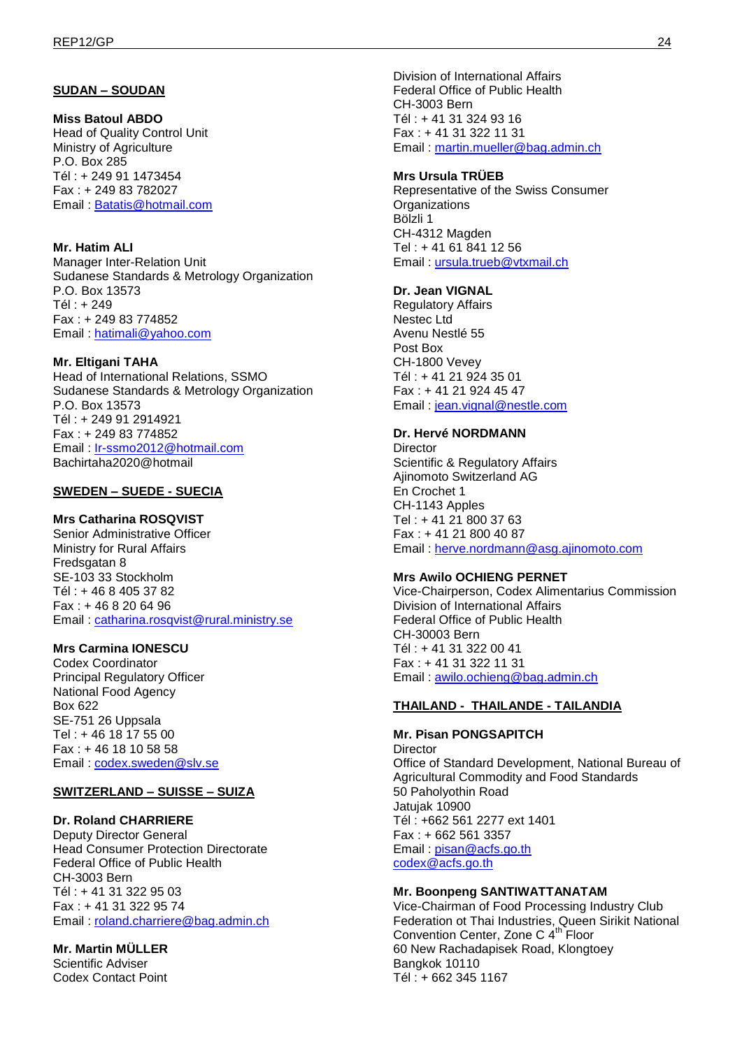### **SUDAN – SOUDAN**

# **Miss Batoul ABDO**

Head of Quality Control Unit Ministry of Agriculture P.O. Box 285 Tél : + 249 91 1473454 Fax : + 249 83 782027 Email : [Batatis@hotmail.com](mailto:Batatis@hotmail.com)

#### **Mr. Hatim ALI**

Manager Inter-Relation Unit Sudanese Standards & Metrology Organization P.O. Box 13573 Tél : + 249 Fax : + 249 83 774852 Email : [hatimali@yahoo.com](mailto:hatimali@yahoo.com)

#### **Mr. Eltigani TAHA**

Head of International Relations, SSMO Sudanese Standards & Metrology Organization P.O. Box 13573 Tél : + 249 91 2914921 Fax : + 249 83 774852 Email : [Ir-ssmo2012@hotmail.com](mailto:Ir-ssmo2012@hotmail.com) Bachirtaha2020@hotmail

### **SWEDEN – SUEDE - SUECIA**

### **Mrs Catharina ROSQVIST**

Senior Administrative Officer Ministry for Rural Affairs Fredsgatan 8 SE-103 33 Stockholm Tél : + 46 8 405 37 82 Fax : + 46 8 20 64 96 Email : [catharina.rosqvist@rural.ministry.se](mailto:catharina.rosqvist@rural.ministry.se)

### **Mrs Carmina IONESCU**

Codex Coordinator Principal Regulatory Officer National Food Agency Box 622 SE-751 26 Uppsala Tel : + 46 18 17 55 00 Fax : + 46 18 10 58 58 Email : [codex.sweden@slv.se](mailto:codex.sweden@slv.se)

#### **SWITZERLAND – SUISSE – SUIZA**

#### **Dr. Roland CHARRIERE**

Deputy Director General Head Consumer Protection Directorate Federal Office of Public Health CH-3003 Bern Tél : + 41 31 322 95 03 Fax : + 41 31 322 95 74 Email : [roland.charriere@bag.admin.ch](mailto:roland.charriere@bag.admin.ch)

# **Mr. Martin MÜLLER**

Scientific Adviser Codex Contact Point Division of International Affairs Federal Office of Public Health CH-3003 Bern Tél : + 41 31 324 93 16 Fax : + 41 31 322 11 31 Email : [martin.mueller@bag.admin.ch](mailto:martin.mueller@bag.admin.ch)

### **Mrs Ursula TRÜEB**

Representative of the Swiss Consumer **Organizations** Bölzli 1 CH-4312 Magden Tel : + 41 61 841 12 56 Email : [ursula.trueb@vtxmail.ch](mailto:ursula.trueb@vtxmail.ch)

#### **Dr. Jean VIGNAL**

Regulatory Affairs Nestec Ltd Avenu Nestlé 55 Post Box CH-1800 Vevey Tél : + 41 21 924 35 01 Fax : + 41 21 924 45 47 Email : [jean.vignal@nestle.com](mailto:jean.vignal@nestle.com)

#### **Dr. Hervé NORDMANN**

**Director** Scientific & Regulatory Affairs Ajinomoto Switzerland AG En Crochet 1 CH-1143 Apples Tel : + 41 21 800 37 63 Fax : + 41 21 800 40 87 Email : [herve.nordmann@asg.ajinomoto.com](mailto:herve.nordmann@asg.ajinomoto.com)

#### **Mrs Awilo OCHIENG PERNET**

Vice-Chairperson, Codex Alimentarius Commission Division of International Affairs Federal Office of Public Health CH-30003 Bern Tél : + 41 31 322 00 41 Fax : + 41 31 322 11 31 Email : [awilo.ochieng@bag.admin.ch](mailto:awilo.ochieng@bag.admin.ch)

#### **THAILAND - THAILANDE - TAILANDIA**

### **Mr. Pisan PONGSAPITCH**

**Director** Office of Standard Development, National Bureau of Agricultural Commodity and Food Standards 50 Paholyothin Road Jatujak 10900 Tél : +662 561 2277 ext 1401 Fax : + 662 561 3357 Email : [pisan@acfs.go.th](mailto:pisan@acfs.go.th) [codex@acfs.go.th](mailto:codex@acfs.go.th)

### **Mr. Boonpeng SANTIWATTANATAM**

Vice-Chairman of Food Processing Industry Club Federation ot Thai Industries, Queen Sirikit National Convention Center, Zone C 4<sup>th</sup> Floor 60 New Rachadapisek Road, Klongtoey Bangkok 10110 Tél : + 662 345 1167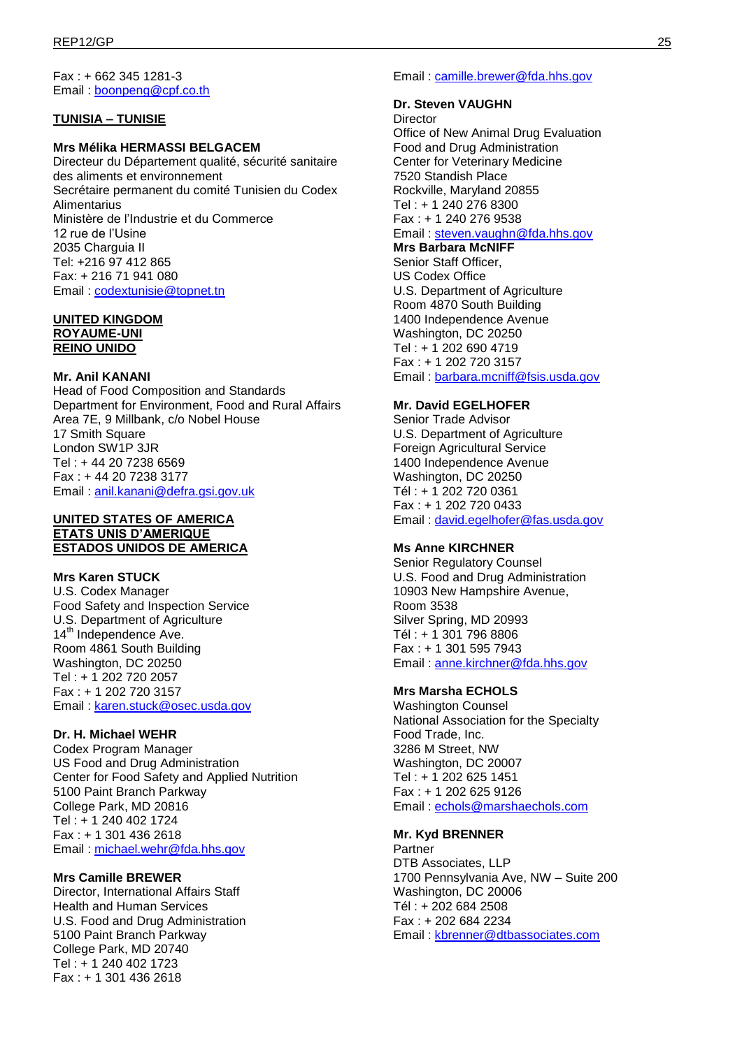Fax : + 662 345 1281-3 Email : [boonpeng@cpf.co.th](mailto:boonpeng@cpf.co.th)

### **TUNISIA – TUNISIE**

#### **Mrs Mélika HERMASSI BELGACEM**

Directeur du Département qualité, sécurité sanitaire des aliments et environnement Secrétaire permanent du comité Tunisien du Codex **Alimentarius** Ministère de l'Industrie et du Commerce 12 rue de l'Usine 2035 Charguia II Tel: +216 97 412 865 Fax: + 216 71 941 080 Email : [codextunisie@topnet.tn](mailto:codextunisie@topnet.tn)

#### **UNITED KINGDOM ROYAUME-UNI**

**REINO UNIDO**

# **Mr. Anil KANANI**

Head of Food Composition and Standards Department for Environment, Food and Rural Affairs Area 7E, 9 Millbank, c/o Nobel House 17 Smith Square London SW1P 3JR Tel : + 44 20 7238 6569 Fax : + 44 20 7238 3177 Email : [anil.kanani@defra.gsi.gov.uk](mailto:anil.kanani@defra.gsi.gov.uk)

#### **UNITED STATES OF AMERICA ETATS UNIS D'AMERIQUE ESTADOS UNIDOS DE AMERICA**

### **Mrs Karen STUCK**

U.S. Codex Manager Food Safety and Inspection Service U.S. Department of Agriculture 14<sup>th</sup> Independence Ave. Room 4861 South Building Washington, DC 20250 Tel : + 1 202 720 2057 Fax : + 1 202 720 3157 Email : [karen.stuck@osec.usda.gov](mailto:karen.stuck@osec.usda.gov)

### **Dr. H. Michael WEHR**

Codex Program Manager US Food and Drug Administration Center for Food Safety and Applied Nutrition 5100 Paint Branch Parkway College Park, MD 20816 Tel : + 1 240 402 1724 Fax : + 1 301 436 2618 Email : [michael.wehr@fda.hhs.gov](mailto:michael.wehr@fda.hhs.gov)

### **Mrs Camille BREWER**

Director, International Affairs Staff Health and Human Services U.S. Food and Drug Administration 5100 Paint Branch Parkway College Park, MD 20740 Tel : + 1 240 402 1723 Fax : + 1 301 436 2618

Email : [camille.brewer@fda.hhs.gov](mailto:camille.brewer@fda.hhs.gov)

### **Dr. Steven VAUGHN**

**Director** 

Office of New Animal Drug Evaluation Food and Drug Administration Center for Veterinary Medicine 7520 Standish Place Rockville, Maryland 20855 Tel : + 1 240 276 8300 Fax : + 1 240 276 9538 Email : [steven.vaughn@fda.hhs.gov](mailto:steven.vaughn@fda.hhs.gov)

### **Mrs Barbara McNIFF**

Senior Staff Officer, US Codex Office U.S. Department of Agriculture Room 4870 South Building 1400 Independence Avenue Washington, DC 20250 Tel : + 1 202 690 4719 Fax : + 1 202 720 3157 Email : [barbara.mcniff@fsis.usda.gov](mailto:barbara.mcniff@fsis.usda.gov)

### **Mr. David EGELHOFER**

Senior Trade Advisor U.S. Department of Agriculture Foreign Agricultural Service 1400 Independence Avenue Washington, DC 20250 Tél : + 1 202 720 0361 Fax : + 1 202 720 0433 Email : [david.egelhofer@fas.usda.gov](mailto:david.egelhofer@fas.usda.gov)

# **Ms Anne KIRCHNER**

Senior Regulatory Counsel U.S. Food and Drug Administration 10903 New Hampshire Avenue, Room 3538 Silver Spring, MD 20993 Tél : + 1 301 796 8806 Fax : + 1 301 595 7943 Email : [anne.kirchner@fda.hhs.gov](mailto:anne.kirchner@fda.hhs.gov)

### **Mrs Marsha ECHOLS**

Washington Counsel National Association for the Specialty Food Trade, Inc. 3286 M Street, NW Washington, DC 20007 Tel : + 1 202 625 1451 Fax : + 1 202 625 9126 Email : [echols@marshaechols.com](mailto:echols@marshaechols.com)

# **Mr. Kyd BRENNER**

Partner DTB Associates, LLP 1700 Pennsylvania Ave, NW – Suite 200 Washington, DC 20006 Tél : + 202 684 2508 Fax : + 202 684 2234 Email : [kbrenner@dtbassociates.com](mailto:kbrenner@dtbassociates.com)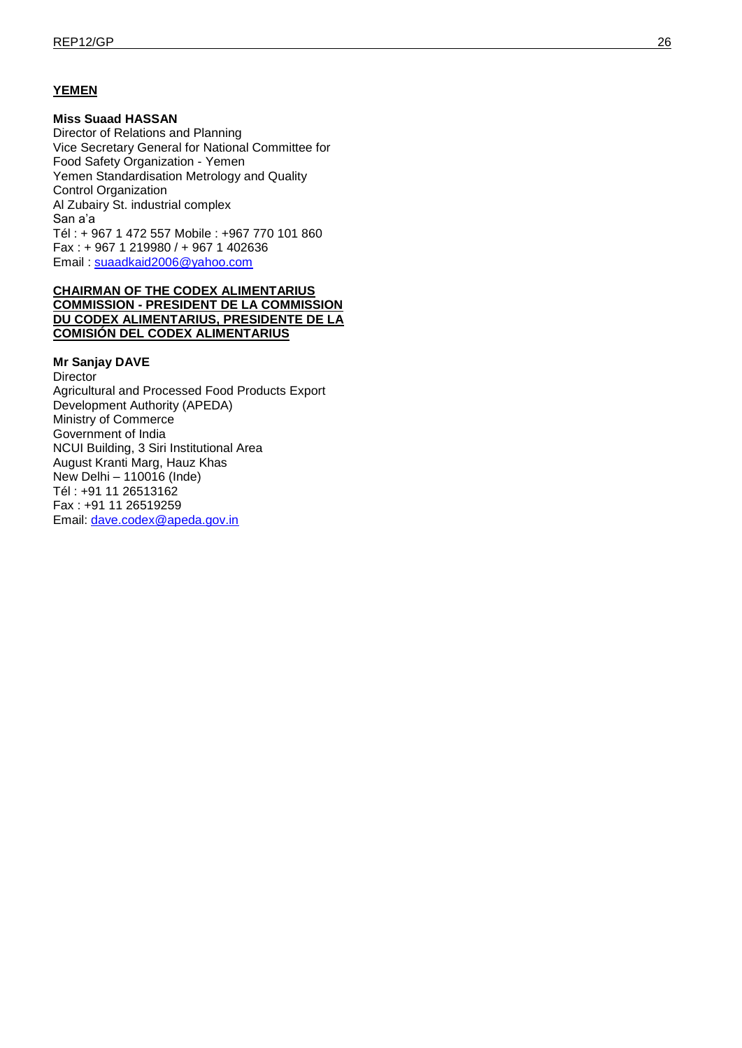### **YEMEN**

### **Miss Suaad HASSAN**

Director of Relations and Planning Vice Secretary General for National Committee for Food Safety Organization - Yemen Yemen Standardisation Metrology and Quality Control Organization Al Zubairy St. industrial complex San a'a Tél : + 967 1 472 557 Mobile : +967 770 101 860 Fax : + 967 1 219980 / + 967 1 402636 Email : [suaadkaid2006@yahoo.com](mailto:suaadkaid2006@yahoo.com)

### **CHAIRMAN OF THE CODEX ALIMENTARIUS COMMISSION - PRESIDENT DE LA COMMISSION DU CODEX ALIMENTARIUS, PRESIDENTE DE LA COMISIÓN DEL CODEX ALIMENTARIUS**

#### **Mr Sanjay DAVE**

**Director** Agricultural and Processed Food Products Export Development Authority (APEDA) Ministry of Commerce Government of India NCUI Building, 3 Siri Institutional Area August Kranti Marg, Hauz Khas New Delhi – 110016 (Inde) Tél : +91 11 26513162 Fax : +91 11 26519259 Email: [dave.codex@apeda.gov.in](mailto:dave.codex@apeda.gov.in)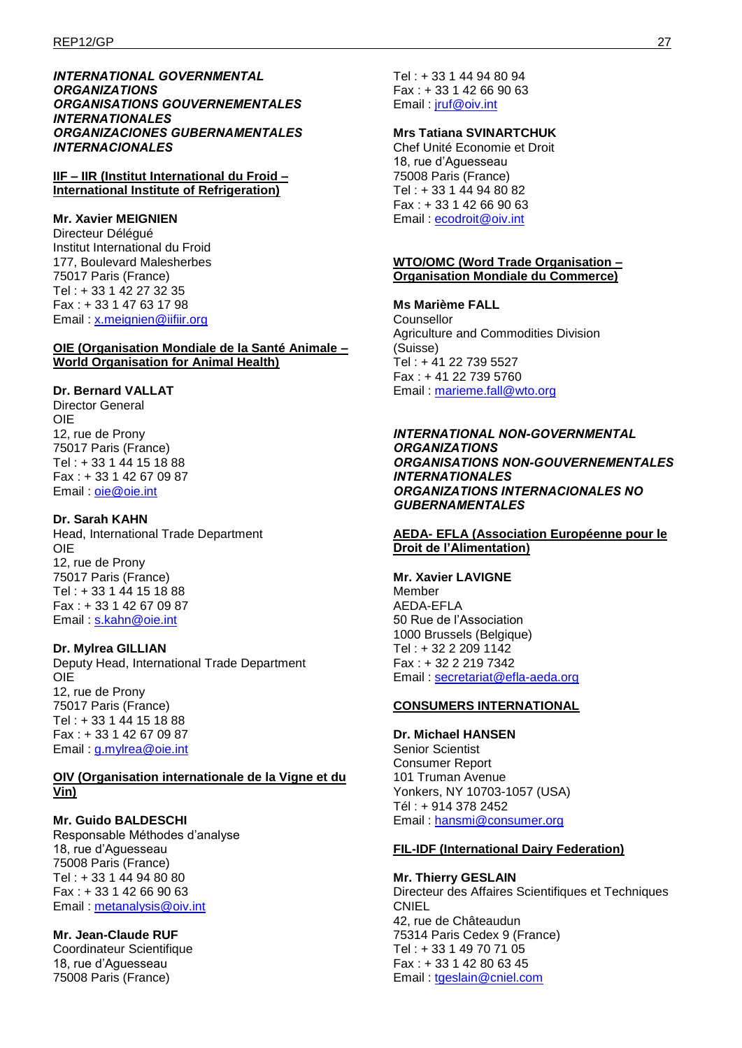#### *INTERNATIONAL GOVERNMENTAL ORGANIZATIONS ORGANISATIONS GOUVERNEMENTALES INTERNATIONALES ORGANIZACIONES GUBERNAMENTALES INTERNACIONALES*

**IIF – IIR (Institut International du Froid – International Institute of Refrigeration)**

### **Mr. Xavier MEIGNIEN**

Directeur Délégué Institut International du Froid 177, Boulevard Malesherbes 75017 Paris (France) Tel : + 33 1 42 27 32 35 Fax : + 33 1 47 63 17 98 Email : [x.meignien@iifiir.org](mailto:x.meignien@iifiir.org)

### **OIE (Organisation Mondiale de la Santé Animale – World Organisation for Animal Health)**

### **Dr. Bernard VALLAT**

Director General OIE 12, rue de Prony 75017 Paris (France) Tel : + 33 1 44 15 18 88 Fax : + 33 1 42 67 09 87 Email : [oie@oie.int](mailto:oie@oie.int)

#### **Dr. Sarah KAHN**  Head, International Trade Department

OIE 12, rue de Prony 75017 Paris (France) Tel : + 33 1 44 15 18 88 Fax : + 33 1 42 67 09 87 Email: [s.kahn@oie.int](mailto:s.kahn@oie.int)

# **Dr. Mylrea GILLIAN**

Deputy Head, International Trade Department OIE 12, rue de Prony 75017 Paris (France) Tel : + 33 1 44 15 18 88 Fax : + 33 1 42 67 09 87 Email : [g.mylrea@oie.int](mailto:g.mylrea@oie.int)

#### **OIV (Organisation internationale de la Vigne et du Vin)**

**Mr. Guido BALDESCHI**  Responsable Méthodes d'analyse 18, rue d'Aguesseau 75008 Paris (France) Tel : + 33 1 44 94 80 80 Fax : + 33 1 42 66 90 63 Email : [metanalysis@oiv.int](mailto:metanalysis@oiv.int)

**Mr. Jean-Claude RUF**  Coordinateur Scientifique 18, rue d'Aguesseau 75008 Paris (France)

Tel : + 33 1 44 94 80 94 Fax : + 33 1 42 66 90 63 Email : [jruf@oiv.int](mailto:jruf@oiv.int)

### **Mrs Tatiana SVINARTCHUK**

Chef Unité Economie et Droit 18, rue d'Aguesseau 75008 Paris (France) Tel : + 33 1 44 94 80 82 Fax : + 33 1 42 66 90 63 Email : [ecodroit@oiv.int](mailto:ecodroit@oiv.int)

### **WTO/OMC (Word Trade Organisation – Organisation Mondiale du Commerce)**

**Ms Marième FALL** 

Counsellor Agriculture and Commodities Division (Suisse) Tel : + 41 22 739 5527 Fax : + 41 22 739 5760 Email: [marieme.fall@wto.org](mailto:marieme.fall@wto.org)

*INTERNATIONAL NON-GOVERNMENTAL ORGANIZATIONS ORGANISATIONS NON-GOUVERNEMENTALES INTERNATIONALES ORGANIZATIONS INTERNACIONALES NO GUBERNAMENTALES* 

### **AEDA- EFLA (Association Européenne pour le Droit de l'Alimentation)**

### **Mr. Xavier LAVIGNE**

Member AEDA-EFLA 50 Rue de l'Association 1000 Brussels (Belgique) Tel : + 32 2 209 1142 Fax : + 32 2 219 7342 Email : [secretariat@efla-aeda.org](mailto:secretariat@efla-aeda.org)

### **CONSUMERS INTERNATIONAL**

**Dr. Michael HANSEN**  Senior Scientist Consumer Report 101 Truman Avenue Yonkers, NY 10703-1057 (USA) Tél : + 914 378 2452 Email : [hansmi@consumer.org](mailto:hansmi@consumer.org)

# **FIL-IDF (International Dairy Federation)**

**Mr. Thierry GESLAIN**  Directeur des Affaires Scientifiques et Techniques CNIEL 42, rue de Châteaudun 75314 Paris Cedex 9 (France) Tel : + 33 1 49 70 71 05 Fax : + 33 1 42 80 63 45 Email : [tgeslain@cniel.com](mailto:tgeslain@cniel.com)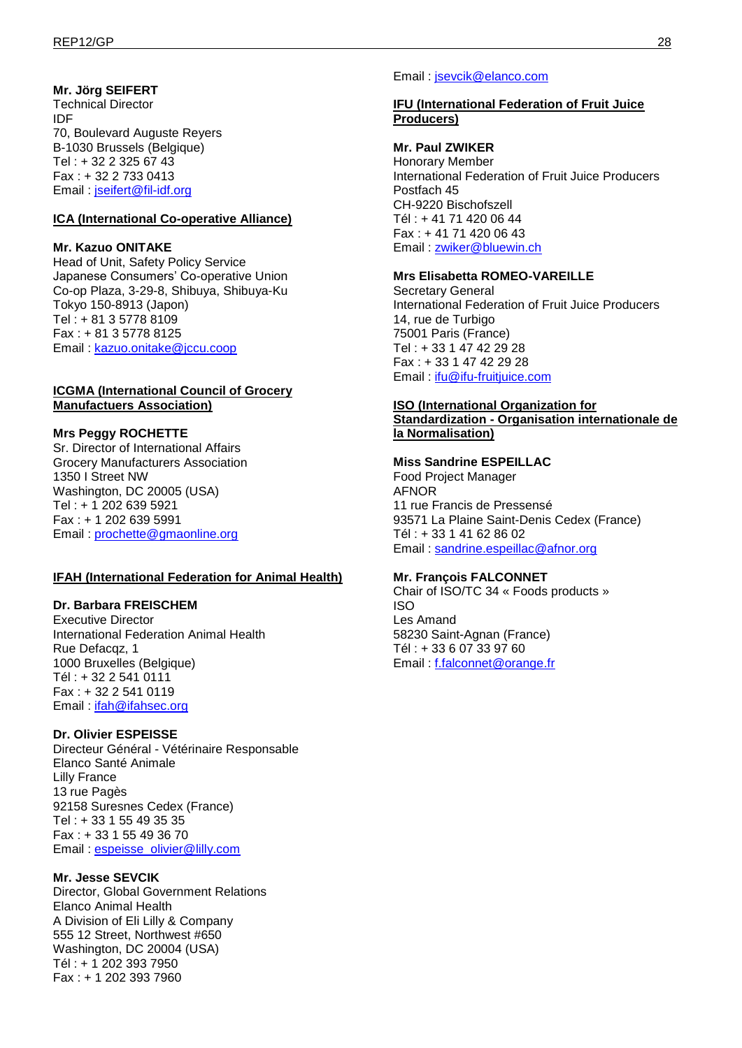# **Mr. Jörg SEIFERT**

Technical Director IDF 70, Boulevard Auguste Reyers B-1030 Brussels (Belgique) Tel : + 32 2 325 67 43 Fax : + 32 2 733 0413 Email : [jseifert@fil-idf.org](mailto:jseifert@fil-idf.org)

### **ICA (International Co-operative Alliance)**

### **Mr. Kazuo ONITAKE**

Head of Unit, Safety Policy Service Japanese Consumers' Co-operative Union Co-op Plaza, 3-29-8, Shibuya, Shibuya-Ku Tokyo 150-8913 (Japon) Tel : + 81 3 5778 8109 Fax : + 81 3 5778 8125 Email : [kazuo.onitake@jccu.coop](mailto:kazoo.onitake@jccu.coop)

### **ICGMA (International Council of Grocery Manufactuers Association)**

### **Mrs Peggy ROCHETTE**

Sr. Director of International Affairs Grocery Manufacturers Association 1350 I Street NW Washington, DC 20005 (USA) Tel : + 1 202 639 5921 Fax : + 1 202 639 5991 Email : [prochette@gmaonline.org](mailto:prochette@gmaonline.org)

### **IFAH (International Federation for Animal Health)**

#### **Dr. Barbara FREISCHEM**

Executive Director International Federation Animal Health Rue Defacqz, 1 1000 Bruxelles (Belgique) Tél : + 32 2 541 0111 Fax : + 32 2 541 0119 Email : [ifah@ifahsec.org](mailto:ifah@ifahsec.org)

### **Dr. Olivier ESPEISSE**

Directeur Général - Vétérinaire Responsable Elanco Santé Animale Lilly France 13 rue Pagès 92158 Suresnes Cedex (France) Tel : + 33 1 55 49 35 35 Fax : + 33 1 55 49 36 70 Email : [espeisse\\_olivier@lilly.com](mailto:espeisse_olivier@lilly.com)

### **Mr. Jesse SEVCIK**

Director, Global Government Relations Elanco Animal Health A Division of Eli Lilly & Company 555 12 Street, Northwest #650 Washington, DC 20004 (USA) Tél : + 1 202 393 7950 Fax : + 1 202 393 7960

#### Email : [jsevcik@elanco.com](mailto:jsevcik@elanco.com)

### **IFU (International Federation of Fruit Juice Producers)**

#### **Mr. Paul ZWIKER**

Honorary Member International Federation of Fruit Juice Producers Postfach 45 CH-9220 Bischofszell Tél : + 41 71 420 06 44 Fax : + 41 71 420 06 43 Email : [zwiker@bluewin.ch](mailto:zwiker@bluewin.ch)

### **Mrs Elisabetta ROMEO-VAREILLE**

Secretary General International Federation of Fruit Juice Producers 14, rue de Turbigo 75001 Paris (France) Tel : + 33 1 47 42 29 28 Fax : + 33 1 47 42 29 28 Email : [ifu@ifu-fruitjuice.com](mailto:ifu@ifu-fruitjuice.com)

#### **ISO (International Organization for**

**Standardization - Organisation internationale de la Normalisation)**

#### **Miss Sandrine ESPEILLAC**

Food Project Manager AFNOR 11 rue Francis de Pressensé 93571 La Plaine Saint-Denis Cedex (France) Tél : + 33 1 41 62 86 02 Email : [sandrine.espeillac@afnor.org](mailto:sandrine.espeillac@afnor.org)

#### **Mr. François FALCONNET**

Chair of ISO/TC 34 « Foods products » ISO Les Amand 58230 Saint-Agnan (France) Tél : + 33 6 07 33 97 60 Email : [f.falconnet@orange.fr](mailto:f.falconnet@orange.fr)